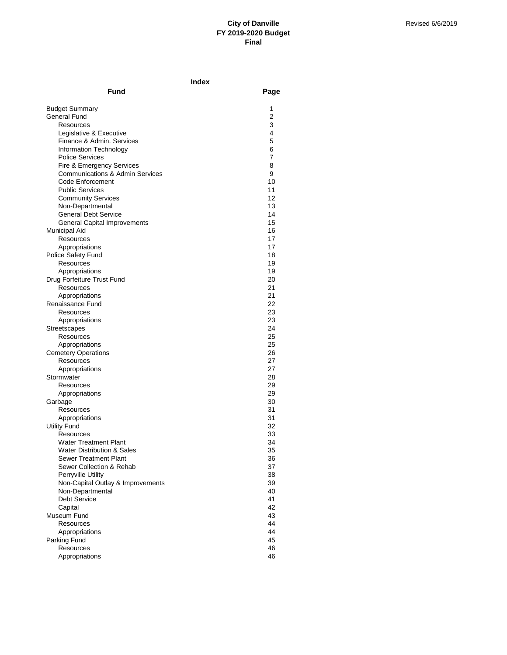|                                                       | Index    |  |
|-------------------------------------------------------|----------|--|
| Fund                                                  | Page     |  |
| <b>Budget Summary</b>                                 | 1        |  |
| General Fund                                          | 2        |  |
| Resources                                             | 3        |  |
| Legislative & Executive                               | 4        |  |
| Finance & Admin. Services                             | 5        |  |
| Information Technology                                | 6        |  |
| <b>Police Services</b>                                | 7        |  |
| Fire & Emergency Services                             | 8        |  |
| <b>Communications &amp; Admin Services</b>            | 9        |  |
| Code Enforcement                                      | 10       |  |
| <b>Public Services</b>                                | 11       |  |
| <b>Community Services</b>                             | 12<br>13 |  |
| Non-Departmental<br><b>General Debt Service</b>       | 14       |  |
| General Capital Improvements                          | 15       |  |
| <b>Municipal Aid</b>                                  | 16       |  |
| Resources                                             | 17       |  |
| Appropriations                                        | 17       |  |
| Police Safety Fund                                    | 18       |  |
| Resources                                             | 19       |  |
| Appropriations                                        | 19       |  |
| Drug Forfeiture Trust Fund                            | 20       |  |
| Resources                                             | 21       |  |
| Appropriations                                        | 21       |  |
| Renaissance Fund                                      | 22       |  |
| Resources                                             | 23       |  |
| Appropriations                                        | 23       |  |
| Streetscapes                                          | 24       |  |
| Resources                                             | 25       |  |
| Appropriations                                        | 25<br>26 |  |
| <b>Cemetery Operations</b><br>Resources               | 27       |  |
| Appropriations                                        | 27       |  |
| Stormwater                                            | 28       |  |
| Resources                                             | 29       |  |
| Appropriations                                        | 29       |  |
| Garbage                                               | 30       |  |
| Resources                                             | 31       |  |
| Appropriations                                        | 31       |  |
| <b>Utility Fund</b>                                   | 32       |  |
| Resources                                             | 33       |  |
| <b>Water Treatment Plant</b>                          | 34       |  |
| Water Distribution & Sales                            | 35       |  |
| <b>Sewer Treatment Plant</b>                          | 36       |  |
| Sewer Collection & Rehab                              | 37       |  |
| Perryville Utility                                    | 38       |  |
| Non-Capital Outlay & Improvements<br>Non-Departmental | 39<br>40 |  |
| <b>Debt Service</b>                                   | 41       |  |
| Capital                                               | 42       |  |
| Museum Fund                                           | 43       |  |
| <b>Resources</b>                                      | 44       |  |
| Appropriations                                        | 44       |  |
| Parking Fund                                          | 45       |  |
| Resources                                             | 46       |  |
| Appropriations                                        | 46       |  |
|                                                       |          |  |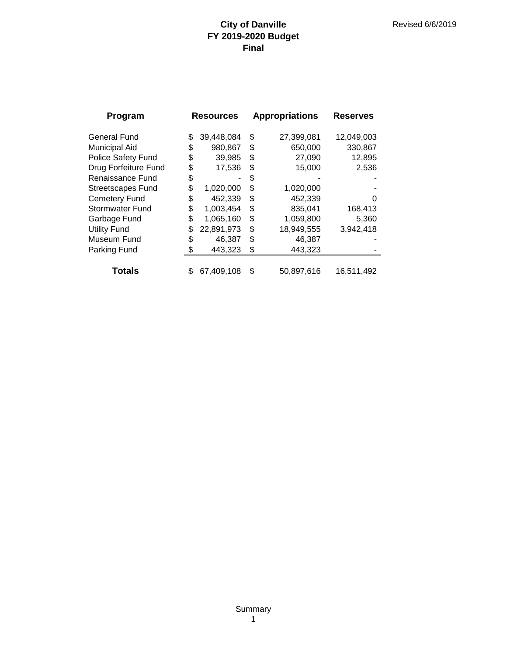| Program                   | <b>Resources</b> |            | <b>Appropriations</b> |            | <b>Reserves</b> |
|---------------------------|------------------|------------|-----------------------|------------|-----------------|
| <b>General Fund</b>       | \$               | 39,448,084 | \$                    | 27,399,081 | 12,049,003      |
| <b>Municipal Aid</b>      | \$               | 980,867    | \$                    | 650,000    | 330,867         |
| <b>Police Safety Fund</b> | \$               | 39,985     | \$                    | 27,090     | 12,895          |
| Drug Forfeiture Fund      | \$               | 17,536     | \$                    | 15,000     | 2,536           |
| Renaissance Fund          | \$               |            | S                     |            |                 |
| <b>Streetscapes Fund</b>  | \$               | 1,020,000  | \$                    | 1,020,000  |                 |
| <b>Cemetery Fund</b>      | \$               | 452,339    | \$                    | 452,339    | O               |
| <b>Stormwater Fund</b>    | \$               | 1,003,454  | \$                    | 835,041    | 168,413         |
| Garbage Fund              | \$               | 1,065,160  | \$                    | 1,059,800  | 5,360           |
| <b>Utility Fund</b>       | \$               | 22,891,973 | \$                    | 18,949,555 | 3,942,418       |
| Museum Fund               | \$               | 46,387     | \$                    | 46,387     |                 |
| Parking Fund              | S                | 443,323    | \$                    | 443,323    |                 |
|                           |                  |            |                       |            |                 |
| Totals                    | \$               | 67,409,108 | \$                    | 50,897,616 | 16,511,492      |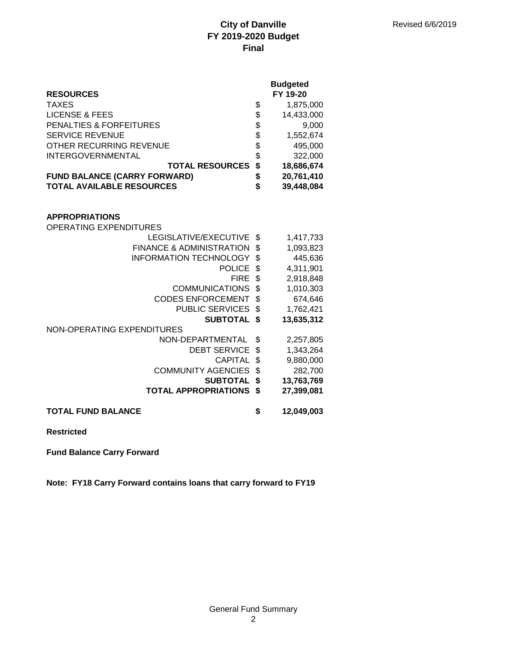|                                     |      | <b>Budgeted</b> |
|-------------------------------------|------|-----------------|
| <b>RESOURCES</b>                    |      | FY 19-20        |
| <b>TAXES</b>                        | \$   | 1,875,000       |
| <b>LICENSE &amp; FEES</b>           | \$   | 14,433,000      |
| <b>PENALTIES &amp; FORFEITURES</b>  |      | 9,000           |
| <b>SERVICE REVENUE</b>              |      | 1,552,674       |
| OTHER RECURRING REVENUE             | \$\$ | 495,000         |
| <b>INTERGOVERNMENTAL</b>            | \$   | 322,000         |
| <b>TOTAL RESOURCES</b>              | \$   | 18,686,674      |
| <b>FUND BALANCE (CARRY FORWARD)</b> | \$   | 20,761,410      |
| <b>TOTAL AVAILABLE RESOURCES</b>    | \$   | 39,448,084      |
|                                     |      |                 |
|                                     |      |                 |
| <b>APPROPRIATIONS</b>               |      |                 |
| <b>OPERATING EXPENDITURES</b>       |      |                 |
| LEGISLATIVE/EXECUTIVE               | \$   | 1,417,733       |
| <b>FINANCE &amp; ADMINISTRATION</b> | \$   | 1,093,823       |
| <b>INFORMATION TECHNOLOGY</b>       | \$   | 445,636         |
| <b>POLICE</b>                       | \$   | 4,311,901       |
| <b>FIRE</b>                         | \$   | 2,918,848       |
| <b>COMMUNICATIONS</b>               | \$   | 1,010,303       |
| <b>CODES ENFORCEMENT</b>            | \$   | 674,646         |
| <b>PUBLIC SERVICES</b>              | \$   | 1,762,421       |
| <b>SUBTOTAL</b>                     | \$   | 13,635,312      |
| NON-OPERATING EXPENDITURES          |      |                 |
| NON-DEPARTMENTAL                    | \$   | 2,257,805       |
| <b>DEBT SERVICE</b>                 | \$   | 1,343,264       |
| <b>CAPITAL</b>                      | \$   | 9,880,000       |
| <b>COMMUNITY AGENCIES</b>           | \$   | 282,700         |
| <b>SUBTOTAL</b>                     | \$   | 13,763,769      |
| <b>TOTAL APPROPRIATIONS</b>         | \$   | 27,399,081      |
| <b>TOTAL FUND BALANCE</b>           | \$   | 12,049,003      |
|                                     |      |                 |

**Restricted**

**Fund Balance Carry Forward**

**Note: FY18 Carry Forward contains loans that carry forward to FY19**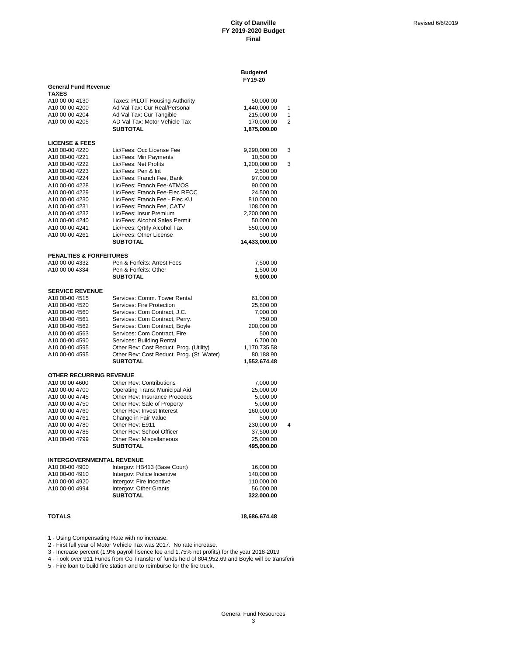|                                             |                                                              | <b>Budgeted</b><br>FY19-20 |   |
|---------------------------------------------|--------------------------------------------------------------|----------------------------|---|
| <b>General Fund Revenue</b><br><b>TAXES</b> |                                                              |                            |   |
| A10 00-00 4130                              | Taxes: PILOT-Housing Authority                               | 50,000.00                  |   |
| A10 00-00 4200                              | Ad Val Tax: Cur Real/Personal                                | 1,440,000.00               | 1 |
| A10 00-00 4204                              | Ad Val Tax: Cur Tangible                                     | 215,000.00                 | 1 |
| A10 00-00 4205                              | AD Val Tax: Motor Vehicle Tax                                | 170,000.00                 | 2 |
|                                             | <b>SUBTOTAL</b>                                              | 1,875,000.00               |   |
| <b>LICENSE &amp; FEES</b>                   |                                                              |                            |   |
| A10 00-00 4220                              | Lic/Fees: Occ License Fee                                    | 9,290,000.00               | 3 |
| A10 00-00 4221                              | Lic/Fees: Min Payments                                       | 10,500.00                  |   |
| A10 00-00 4222                              | Lic/Fees: Net Profits                                        | 1,200,000.00               | 3 |
| A10 00-00 4223                              | Lic/Fees: Pen & Int                                          | 2,500.00                   |   |
| A10 00-00 4224                              | Lic/Fees: Franch Fee, Bank                                   | 97,000.00                  |   |
| A10 00-00 4228                              | Lic/Fees: Franch Fee-ATMOS                                   | 90,000.00                  |   |
| A10 00-00 4229                              | Lic/Fees: Franch Fee-Elec RECC                               | 24,500.00                  |   |
| A10 00-00 4230                              | Lic/Fees: Franch Fee - Elec KU                               | 810,000.00                 |   |
| A <sub>10</sub> 00-00 4231                  | Lic/Fees: Franch Fee, CATV                                   | 108,000.00                 |   |
| A10 00-00 4232                              | Lic/Fees: Insur Premium                                      | 2,200,000.00               |   |
| A10 00-00 4240                              | Lic/Fees: Alcohol Sales Permit                               | 50,000.00                  |   |
| A10 00-00 4241                              | Lic/Fees: Qrtrly Alcohol Tax                                 | 550,000.00                 |   |
| A10 00-00 4261                              | Lic/Fees: Other License                                      | 500.00                     |   |
|                                             | <b>SUBTOTAL</b>                                              | 14,433,000.00              |   |
| <b>PENALTIES &amp; FORFEITURES</b>          |                                                              |                            |   |
| A10 00-00 4332                              | Pen & Forfeits: Arrest Fees                                  | 7,500.00                   |   |
| A10 00 00 4334                              | Pen & Forfeits: Other                                        | 1,500.00                   |   |
|                                             | <b>SUBTOTAL</b>                                              | 9,000.00                   |   |
| <b>SERVICE REVENUE</b>                      |                                                              |                            |   |
| A10 00-00 4515                              | Services: Comm. Tower Rental                                 | 61,000.00                  |   |
| A10 00-00 4520                              | Services: Fire Protection                                    | 25,800.00                  |   |
| A10 00-00 4560                              | Services: Com Contract, J.C.                                 | 7,000.00                   |   |
| A10 00-00 4561                              | Services: Com Contract, Perry.                               | 750.00                     |   |
| A10 00-00 4562                              | Services: Com Contract, Boyle                                | 200,000.00                 |   |
| A10 00-00 4563                              | Services: Com Contract, Fire                                 | 500.00                     |   |
| A <sub>10</sub> 00-00 4590                  | Services: Building Rental                                    | 6,700.00                   |   |
| A10 00-00 4595                              | Other Rev: Cost Reduct. Prog. (Utility)                      | 1,170,735.58               |   |
| A10 00-00 4595                              | Other Rev: Cost Reduct. Prog. (St. Water)<br><b>SUBTOTAL</b> | 80,188.90                  |   |
|                                             |                                                              | 1,552,674.48               |   |
| OTHER RECURRING REVENUE                     |                                                              |                            |   |
| A10 00 00 4600                              | <b>Other Rev: Contributions</b>                              | 7,000.00                   |   |
| A10 00-00 4700                              | Operating Trans: Municipal Aid                               | 25,000.00                  |   |
| A10 00-00 4745<br>A10 00-00 4750            | Other Rev: Insurance Proceeds                                | 5,000.00                   |   |
| A10 00-00 4760                              | Other Rev: Sale of Property<br>Other Rev: Invest Interest    | 5,000.00                   |   |
| A10 00-00 4761                              | Change in Fair Value                                         | 160,000.00<br>500.00       |   |
| A10 00-00 4780                              | Other Rev: E911                                              | 230,000.00                 | 4 |
| A10 00-00 4785                              | Other Rev: School Officer                                    | 37,500.00                  |   |
| A10 00-00 4799                              | Other Rev: Miscellaneous                                     |                            |   |
|                                             | <b>SUBTOTAL</b>                                              | 25,000.00<br>495,000.00    |   |
|                                             |                                                              |                            |   |
| <b>INTERGOVERNMENTAL REVENUE</b>            |                                                              |                            |   |
| A10 00-00 4900                              | Intergov: HB413 (Base Court)                                 | 16,000.00                  |   |
| A10 00-00 4910                              | Intergov: Police Incentive                                   | 140,000.00                 |   |
| A10 00-00 4920                              | Intergov: Fire Incentive                                     | 110.000.00                 |   |
| A10 00-00 4994                              | Intergov: Other Grants<br><b>SUBTOTAL</b>                    | 56,000.00                  |   |
|                                             |                                                              | 322,000.00                 |   |
|                                             |                                                              |                            |   |

**TOTALS 18,686,674.48**

1 - Using Compensating Rate with no increase.

2 - First full year of Motor Vehicle Tax was 2017. No rate increase.

3 - Increase percent (1.9% payroll lisence fee and 1.75% net profits) for the year 2018-2019

4 - Took over 911 Funds from Co Transfer of funds held of 804,952.69 and Boyle will be transferir

5 - Fire loan to build fire station and to reimburse for the fire truck.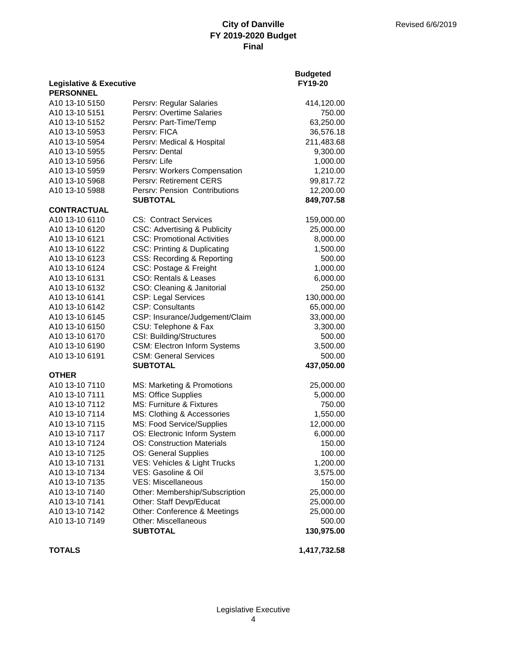**Budgeted**

| <b>Legislative &amp; Executive</b> |                                         | FY19-20      |
|------------------------------------|-----------------------------------------|--------------|
| <b>PERSONNEL</b>                   |                                         |              |
| A10 13-10 5150                     | Persrv: Regular Salaries                | 414,120.00   |
| A10 13-10 5151                     | Persrv: Overtime Salaries               | 750.00       |
| A10 13-10 5152                     | Persrv: Part-Time/Temp                  | 63,250.00    |
| A10 13-10 5953                     | Persry: FICA                            | 36,576.18    |
| A10 13-10 5954                     | Persrv: Medical & Hospital              | 211,483.68   |
| A10 13-10 5955                     | Persrv: Dental                          | 9,300.00     |
| A10 13-10 5956                     | Persry: Life                            | 1,000.00     |
| A10 13-10 5959                     | Persrv: Workers Compensation            | 1,210.00     |
| A10 13-10 5968                     | Persrv: Retirement CERS                 | 99,817.72    |
| A10 13-10 5988                     | Persrv: Pension Contributions           | 12,200.00    |
|                                    | <b>SUBTOTAL</b>                         | 849,707.58   |
| <b>CONTRACTUAL</b>                 |                                         |              |
| A10 13-10 6110                     | <b>CS: Contract Services</b>            | 159,000.00   |
| A10 13-10 6120                     | <b>CSC: Advertising &amp; Publicity</b> | 25,000.00    |
| A10 13-10 6121                     | <b>CSC: Promotional Activities</b>      | 8,000.00     |
| A10 13-10 6122                     | <b>CSC: Printing &amp; Duplicating</b>  | 1,500.00     |
| A10 13-10 6123                     | CSS: Recording & Reporting              | 500.00       |
| A10 13-10 6124                     | CSC: Postage & Freight                  | 1,000.00     |
| A10 13-10 6131                     | <b>CSO: Rentals &amp; Leases</b>        | 6,000.00     |
| A10 13-10 6132                     | CSO: Cleaning & Janitorial              | 250.00       |
| A10 13-10 6141                     | <b>CSP: Legal Services</b>              | 130,000.00   |
| A10 13-10 6142                     | <b>CSP: Consultants</b>                 | 65,000.00    |
| A10 13-10 6145                     | CSP: Insurance/Judgement/Claim          | 33,000.00    |
| A10 13-10 6150                     | CSU: Telephone & Fax                    | 3,300.00     |
| A10 13-10 6170                     | CSI: Building/Structures                | 500.00       |
| A10 13-10 6190                     | <b>CSM: Electron Inform Systems</b>     | 3,500.00     |
| A10 13-10 6191                     | <b>CSM: General Services</b>            | 500.00       |
|                                    | <b>SUBTOTAL</b>                         | 437,050.00   |
| <b>OTHER</b>                       |                                         |              |
| A10 13-10 7110                     | MS: Marketing & Promotions              | 25,000.00    |
| A10 13-10 7111                     | MS: Office Supplies                     | 5,000.00     |
| A10 13-10 7112                     | <b>MS: Furniture &amp; Fixtures</b>     | 750.00       |
| A10 13-10 7114                     | MS: Clothing & Accessories              | 1,550.00     |
| A10 13-10 7115                     | MS: Food Service/Supplies               | 12,000.00    |
| A10 13-10 7117                     | OS: Electronic Inform System            | 6,000.00     |
| A10 13-10 7124                     | <b>OS: Construction Materials</b>       | 150.00       |
| A10 13-10 7125                     | OS: General Supplies                    | 100.00       |
| A10 13-10 7131                     | VES: Vehicles & Light Trucks            | 1,200.00     |
| A10 13-10 7134                     | VES: Gasoline & Oil                     | 3,575.00     |
| A10 13-10 7135                     | <b>VES: Miscellaneous</b>               | 150.00       |
| A10 13-10 7140                     | Other: Membership/Subscription          | 25,000.00    |
| A10 13-10 7141                     | Other: Staff Devp/Educat                | 25,000.00    |
| A10 13-10 7142                     | Other: Conference & Meetings            | 25,000.00    |
| A10 13-10 7149                     | <b>Other: Miscellaneous</b>             | 500.00       |
|                                    | <b>SUBTOTAL</b>                         | 130,975.00   |
| <b>TOTALS</b>                      |                                         | 1,417,732.58 |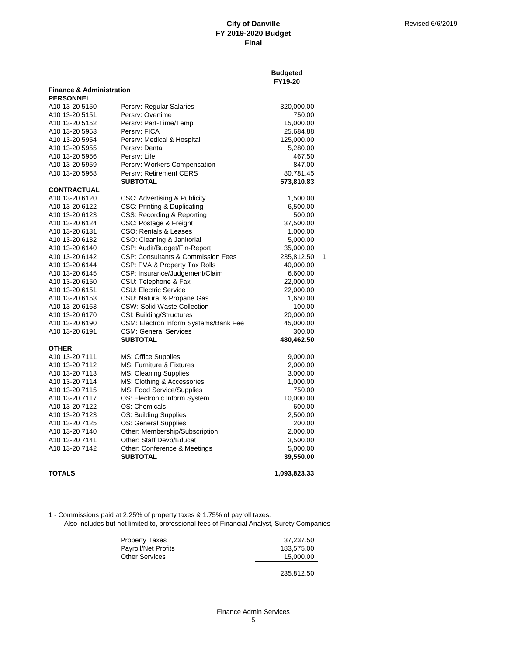**Budgeted**

|                                     |                                               | <b>FY19-20</b> |   |
|-------------------------------------|-----------------------------------------------|----------------|---|
| <b>Finance &amp; Administration</b> |                                               |                |   |
| <b>PERSONNEL</b>                    |                                               |                |   |
| A10 13-20 5150                      | Persrv: Regular Salaries                      | 320,000.00     |   |
| A10 13-20 5151                      | Persry: Overtime                              | 750.00         |   |
| A10 13-20 5152                      | Persrv: Part-Time/Temp                        | 15,000.00      |   |
| A10 13-20 5953                      | Persry: FICA                                  | 25,684.88      |   |
| A10 13-20 5954                      | Persrv: Medical & Hospital                    | 125,000.00     |   |
| A10 13-20 5955                      | Persrv: Dental                                | 5,280.00       |   |
| A10 13-20 5956                      | Persry: Life                                  | 467.50         |   |
| A10 13-20 5959                      | Persrv: Workers Compensation                  | 847.00         |   |
| A10 13-20 5968                      | Persry: Retirement CERS                       | 80,781.45      |   |
|                                     | <b>SUBTOTAL</b>                               | 573,810.83     |   |
| <b>CONTRACTUAL</b>                  |                                               |                |   |
| A10 13-20 6120                      | CSC: Advertising & Publicity                  | 1,500.00       |   |
| A10 13-20 6122                      | <b>CSC: Printing &amp; Duplicating</b>        | 6,500.00       |   |
| A10 13-20 6123                      | CSS: Recording & Reporting                    | 500.00         |   |
| A10 13-20 6124                      | CSC: Postage & Freight                        | 37,500.00      |   |
| A10 13-20 6131                      | CSO: Rentals & Leases                         | 1,000.00       |   |
| A10 13-20 6132                      | CSO: Cleaning & Janitorial                    | 5,000.00       |   |
| A10 13-20 6140                      | CSP: Audit/Budget/Fin-Report                  | 35,000.00      |   |
| A10 13-20 6142                      | <b>CSP: Consultants &amp; Commission Fees</b> | 235,812.50     | 1 |
| A10 13-20 6144                      | CSP: PVA & Property Tax Rolls                 | 40,000.00      |   |
| A10 13-20 6145                      | CSP: Insurance/Judgement/Claim                | 6,600.00       |   |
| A10 13-20 6150                      | CSU: Telephone & Fax                          | 22,000.00      |   |
| A10 13-20 6151                      | CSU: Electric Service                         | 22,000.00      |   |
| A10 13-20 6153                      | CSU: Natural & Propane Gas                    | 1,650.00       |   |
| A10 13-20 6163                      | <b>CSW: Solid Waste Collection</b>            | 100.00         |   |
| A <sub>10</sub> 13-20 6170          | CSI: Building/Structures                      | 20,000.00      |   |
| A10 13-20 6190                      | CSM: Electron Inform Systems/Bank Fee         | 45,000.00      |   |
| A10 13-20 6191                      | <b>CSM: General Services</b>                  | 300.00         |   |
|                                     | <b>SUBTOTAL</b>                               | 480,462.50     |   |
| <b>OTHER</b>                        |                                               |                |   |
| A10 13-20 7111                      | MS: Office Supplies                           | 9,000.00       |   |
| A10 13-20 7112                      | MS: Furniture & Fixtures                      | 2,000.00       |   |
| A10 13-20 7113                      | <b>MS: Cleaning Supplies</b>                  | 3,000.00       |   |
| A10 13-20 7114                      | MS: Clothing & Accessories                    | 1,000.00       |   |
| A10 13-20 7115                      | MS: Food Service/Supplies                     | 750.00         |   |
| A10 13-20 7117                      | OS: Electronic Inform System                  | 10,000.00      |   |
| A <sub>10</sub> 13-20 7122          | OS: Chemicals                                 | 600.00         |   |
| A10 13-20 7123                      | OS: Building Supplies                         | 2,500.00       |   |
| A10 13-20 7125                      | OS: General Supplies                          | 200.00         |   |
| A10 13-20 7140                      | Other: Membership/Subscription                | 2,000.00       |   |
| A10 13-20 7141                      | Other: Staff Devp/Educat                      | 3,500.00       |   |
| A10 13-20 7142                      | Other: Conference & Meetings                  | 5,000.00       |   |
|                                     | <b>SUBTOTAL</b>                               | 39,550.00      |   |
|                                     |                                               |                |   |

## **TOTALS 1,093,823.33**

1 - Commissions paid at 2.25% of property taxes & 1.75% of payroll taxes.

Also includes but not limited to, professional fees of Financial Analyst, Surety Companies

| Property Taxes             | 37.237.50  |
|----------------------------|------------|
| <b>Payroll/Net Profits</b> | 183.575.00 |
| Other Services             | 15.000.00  |
|                            |            |

235,812.50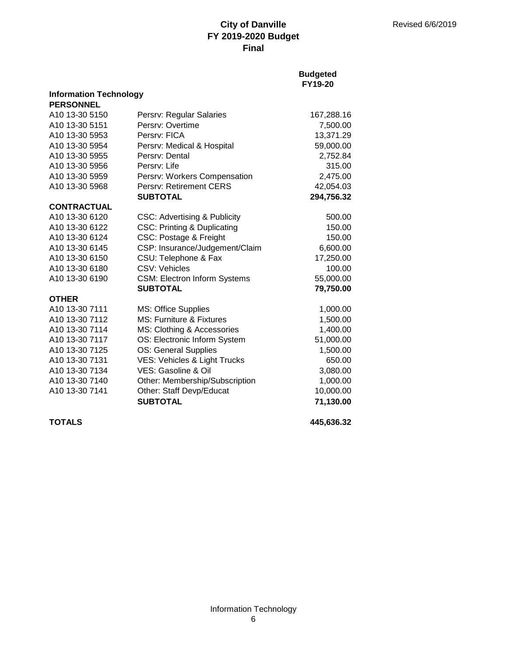## **Budgeted FY19-20**

| Persrv: Regular Salaries               | 167,288.16                                                                                                                                                                                                                                                                                                            |
|----------------------------------------|-----------------------------------------------------------------------------------------------------------------------------------------------------------------------------------------------------------------------------------------------------------------------------------------------------------------------|
| Persry: Overtime                       | 7,500.00                                                                                                                                                                                                                                                                                                              |
| Persry: FICA                           | 13,371.29                                                                                                                                                                                                                                                                                                             |
| Persrv: Medical & Hospital             | 59,000.00                                                                                                                                                                                                                                                                                                             |
| Persry: Dental                         | 2,752.84                                                                                                                                                                                                                                                                                                              |
| Persry: Life                           | 315.00                                                                                                                                                                                                                                                                                                                |
| Persrv: Workers Compensation           | 2,475.00                                                                                                                                                                                                                                                                                                              |
| <b>Persry: Retirement CERS</b>         | 42,054.03                                                                                                                                                                                                                                                                                                             |
| <b>SUBTOTAL</b>                        | 294,756.32                                                                                                                                                                                                                                                                                                            |
|                                        |                                                                                                                                                                                                                                                                                                                       |
| CSC: Advertising & Publicity           | 500.00                                                                                                                                                                                                                                                                                                                |
| <b>CSC: Printing &amp; Duplicating</b> | 150.00                                                                                                                                                                                                                                                                                                                |
| CSC: Postage & Freight                 | 150.00                                                                                                                                                                                                                                                                                                                |
| CSP: Insurance/Judgement/Claim         | 6,600.00                                                                                                                                                                                                                                                                                                              |
| CSU: Telephone & Fax                   | 17,250.00                                                                                                                                                                                                                                                                                                             |
| CSV: Vehicles                          | 100.00                                                                                                                                                                                                                                                                                                                |
| <b>CSM: Electron Inform Systems</b>    | 55,000.00                                                                                                                                                                                                                                                                                                             |
| <b>SUBTOTAL</b>                        | 79,750.00                                                                                                                                                                                                                                                                                                             |
|                                        |                                                                                                                                                                                                                                                                                                                       |
|                                        | 1,000.00                                                                                                                                                                                                                                                                                                              |
|                                        | 1,500.00                                                                                                                                                                                                                                                                                                              |
|                                        | 1,400.00                                                                                                                                                                                                                                                                                                              |
|                                        | 51,000.00                                                                                                                                                                                                                                                                                                             |
|                                        | 1,500.00                                                                                                                                                                                                                                                                                                              |
|                                        | 650.00                                                                                                                                                                                                                                                                                                                |
|                                        | 3,080.00                                                                                                                                                                                                                                                                                                              |
|                                        | 1,000.00                                                                                                                                                                                                                                                                                                              |
|                                        | 10,000.00                                                                                                                                                                                                                                                                                                             |
|                                        | 71,130.00                                                                                                                                                                                                                                                                                                             |
|                                        | <b>Information Technology</b><br>MS: Office Supplies<br>MS: Furniture & Fixtures<br>MS: Clothing & Accessories<br>OS: Electronic Inform System<br><b>OS: General Supplies</b><br>VES: Vehicles & Light Trucks<br>VES: Gasoline & Oil<br>Other: Membership/Subscription<br>Other: Staff Devp/Educat<br><b>SUBTOTAL</b> |

**TOTALS 445,636.32**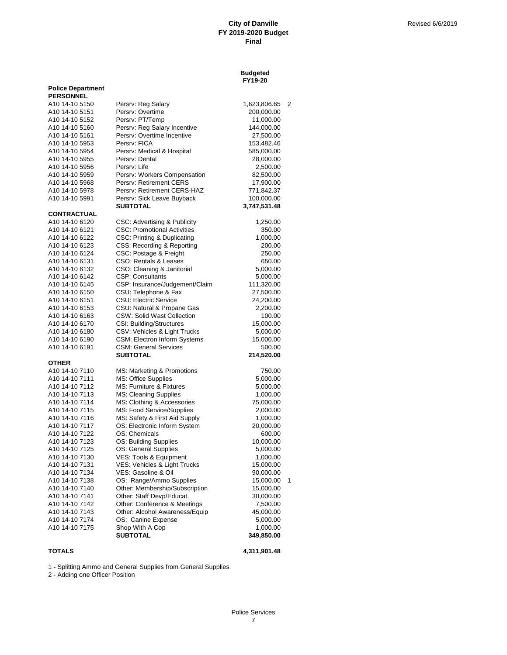#### **Budgeted FY19-20**

|                                              |                                                        | ט∡-בוו                  |   |
|----------------------------------------------|--------------------------------------------------------|-------------------------|---|
| <b>Police Department</b>                     |                                                        |                         |   |
| <b>PERSONNEL</b>                             |                                                        |                         |   |
| A10 14-10 5150<br>A10 14-10 5151             | Persrv: Reg Salary<br>Persry: Overtime                 | 1,623,806.65            | 2 |
| A10 14-10 5152                               | Persrv: PT/Temp                                        | 200,000.00<br>11,000.00 |   |
| A10 14-10 5160                               | Persrv: Reg Salary Incentive                           | 144,000.00              |   |
| A10 14-10 5161                               | Persrv: Overtime Incentive                             | 27,500.00               |   |
| A10 14-10 5953                               | Persry: FICA                                           | 153,482.46              |   |
| A10 14-10 5954                               | Persrv: Medical & Hospital                             | 585,000.00              |   |
| A <sub>10</sub> 14-10 5955                   | Persry: Dental                                         | 28,000.00               |   |
| A10 14-10 5956                               | Persrv: Life                                           | 2,500.00                |   |
| A10 14-10 5959                               | Persrv: Workers Compensation                           | 82,500.00               |   |
| A10 14-10 5968                               | Persry: Retirement CERS                                | 17,900.00               |   |
| A10 14-10 5978                               | Persrv: Retirement CERS-HAZ                            | 771,842.37              |   |
| A10 14-10 5991                               | Persrv: Sick Leave Buyback                             | 100,000.00              |   |
|                                              | <b>SUBTOTAL</b>                                        | 3,747,531.48            |   |
| <b>CONTRACTUAL</b>                           |                                                        |                         |   |
| A10 14-10 6120                               | CSC: Advertising & Publicity                           | 1,250.00                |   |
| A10 14-10 6121                               | <b>CSC: Promotional Activities</b>                     | 350.00                  |   |
| A <sub>10</sub> 14-10 6122                   | CSC: Printing & Duplicating                            | 1,000.00                |   |
| A10 14-10 6123                               | CSS: Recording & Reporting                             | 200.00                  |   |
| A10 14-10 6124                               | CSC: Postage & Freight                                 | 250.00                  |   |
| A10 14-10 6131                               | CSO: Rentals & Leases                                  | 650.00                  |   |
| A10 14-10 6132                               | CSO: Cleaning & Janitorial                             | 5,000.00                |   |
| A10 14-10 6142                               | <b>CSP: Consultants</b>                                | 5,000.00                |   |
| A10 14-10 6145<br>A <sub>10</sub> 14-10 6150 | CSP: Insurance/Judgement/Claim<br>CSU: Telephone & Fax | 111,320.00<br>27,500.00 |   |
| A10 14-10 6151                               | <b>CSU: Electric Service</b>                           | 24,200.00               |   |
| A10 14-10 6153                               | CSU: Natural & Propane Gas                             | 2,200.00                |   |
| A <sub>10</sub> 14-10 6163                   | <b>CSW: Solid Wast Collection</b>                      | 100.00                  |   |
| A10 14-10 6170                               | CSI: Building/Structures                               | 15,000.00               |   |
| A10 14-10 6180                               | CSV: Vehicles & Light Trucks                           | 5,000.00                |   |
| A10 14-10 6190                               | <b>CSM: Electron Inform Systems</b>                    | 15,000.00               |   |
| A10 14-10 6191                               | <b>CSM: General Services</b>                           | 500.00                  |   |
|                                              | <b>SUBTOTAL</b>                                        | 214,520.00              |   |
| <b>OTHER</b>                                 |                                                        |                         |   |
| A10 14-10 7110                               | MS: Marketing & Promotions                             | 750.00                  |   |
| A10 14-10 7111                               | <b>MS: Office Supplies</b>                             | 5,000.00                |   |
| A10 14-10 7112                               | MS: Furniture & Fixtures                               | 5,000.00                |   |
| A10 14-10 7113                               | <b>MS: Cleaning Supplies</b>                           | 1,000.00                |   |
| A10 14-10 7114                               | MS: Clothing & Accessories                             | 75,000.00               |   |
| A10 14-10 7115                               | MS: Food Service/Supplies                              | 2,000.00                |   |
| A10 14-10 7116                               | MS: Safety & First Aid Supply                          | 1,000.00                |   |
| A10 14-10 7117                               | OS: Electronic Inform System                           | 20,000.00               |   |
| A10 14-10 7122                               | OS: Chemicals                                          | 600.00                  |   |
| A10 14-10 7123<br>A10 14-10 7125             | OS: Building Supplies<br>OS: General Supplies          | 10,000.00<br>5,000.00   |   |
| A10 14-10 7130                               | VES: Tools & Equipment                                 | 1,000.00                |   |
| A10 14-10 7131                               | VES: Vehicles & Light Trucks                           | 15,000.00               |   |
| A10 14-10 7134                               | VES: Gasoline & Oil                                    | 90,000.00               |   |
| A10 14-10 7138                               | OS: Range/Ammo Supplies                                | 15,000.00               | 1 |
| A10 14-10 7140                               | Other: Membership/Subscription                         | 15,000.00               |   |
| A10 14-10 7141                               | Other: Staff Devp/Educat                               | 30,000.00               |   |
| A10 14-10 7142                               | Other: Conference & Meetings                           | 7,500.00                |   |
| A10 14-10 7143                               | Other: Alcohol Awareness/Equip                         | 45,000.00               |   |
| A10 14-10 7174                               | OS: Canine Expense                                     | 5,000.00                |   |
| A10 14-10 7175                               | Shop With A Cop                                        | 1,000.00                |   |
|                                              | <b>SUBTOTAL</b>                                        | 349,850.00              |   |

**TOTALS 4,311,901.48**

1 - Splitting Ammo and General Supplies from General Supplies

2 - Adding one Officer Position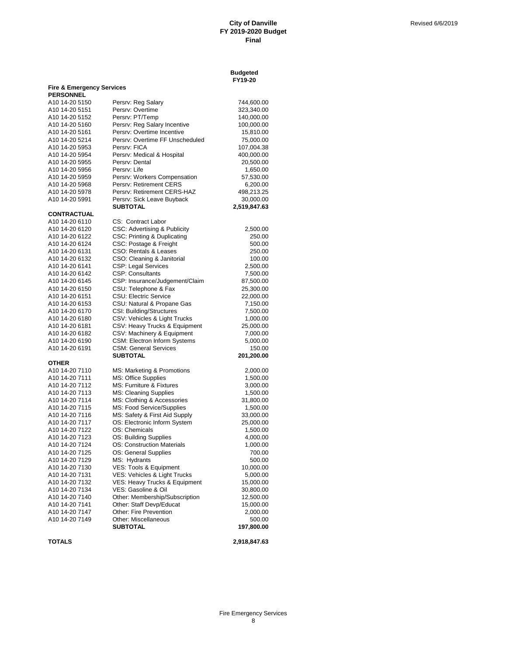**Budgeted**

|                                    |                                                 | FY19-20              |
|------------------------------------|-------------------------------------------------|----------------------|
| Fire & Emergency Services          |                                                 |                      |
| <b>PERSONNEL</b><br>A10 14-20 5150 | Persrv: Reg Salary                              | 744,600.00           |
| A10 14-20 5151                     | Persrv: Overtime                                | 323,340.00           |
| A10 14-20 5152                     | Persrv: PT/Temp                                 | 140,000.00           |
| A10 14-20 5160                     | Persrv: Reg Salary Incentive                    | 100,000.00           |
| A10 14-20 5161                     | Persrv: Overtime Incentive                      | 15,810.00            |
| A10 14-20 5214                     | Persrv: Overtime FF Unscheduled                 | 75,000.00            |
| A10 14-20 5953                     | Persrv: FICA                                    | 107,004.38           |
| A10 14-20 5954                     | Persrv: Medical & Hospital                      | 400,000.00           |
| A10 14-20 5955                     | Persrv: Dental                                  | 20,500.00            |
| A10 14-20 5956                     | Persry: Life                                    | 1,650.00             |
| A10 14-20 5959                     | Persrv: Workers Compensation                    | 57,530.00            |
| A10 14-20 5968                     | Persrv: Retirement CERS                         | 6,200.00             |
| A10 14-20 5978                     | Persrv: Retirement CERS-HAZ                     | 498,213.25           |
| A10 14-20 5991                     | Persrv: Sick Leave Buyback                      | 30,000.00            |
|                                    | <b>SUBTOTAL</b>                                 | 2,519,847.63         |
| CONTRACTUAL                        |                                                 |                      |
| A10 14-20 6110                     | CS: Contract Labor                              |                      |
| A10 14-20 6120                     | CSC: Advertising & Publicity                    | 2,500.00             |
| A10 14-20 6122                     | CSC: Printing & Duplicating                     | 250.00               |
| A10 14-20 6124                     | CSC: Postage & Freight                          | 500.00               |
| A10 14-20 6131                     | CSO: Rentals & Leases                           | 250.00               |
| A10 14-20 6132                     | CSO: Cleaning & Janitorial                      | 100.00               |
| A10 14-20 6141                     | CSP: Legal Services                             | 2,500.00             |
| A10 14-20 6142                     | <b>CSP: Consultants</b>                         | 7,500.00             |
| A10 14-20 6145                     | CSP: Insurance/Judgement/Claim                  | 87,500.00            |
| A10 14-20 6150                     | CSU: Telephone & Fax                            | 25,300.00            |
| A10 14-20 6151                     | <b>CSU: Electric Service</b>                    | 22,000.00            |
| A10 14-20 6153                     | CSU: Natural & Propane Gas                      | 7,150.00             |
| A10 14-20 6170                     | CSI: Building/Structures                        | 7,500.00             |
| A10 14-20 6180                     | CSV: Vehicles & Light Trucks                    | 1,000.00             |
| A10 14-20 6181                     | CSV: Heavy Trucks & Equipment                   | 25,000.00            |
| A10 14-20 6182                     | CSV: Machinery & Equipment                      | 7,000.00             |
| A10 14-20 6190                     | <b>CSM: Electron Inform Systems</b>             | 5,000.00             |
| A10 14-20 6191                     | <b>CSM: General Services</b><br><b>SUBTOTAL</b> | 150.00<br>201,200.00 |
| OTHER                              |                                                 |                      |
| A10 14-20 7110                     | MS: Marketing & Promotions                      | 2,000.00             |
| A10 14-20 7111                     | MS: Office Supplies                             | 1,500.00             |
| A10 14-20 7112                     | MS: Furniture & Fixtures                        | 3,000.00             |
| A10 14-20 7113                     | MS: Cleaning Supplies                           | 1,500.00             |
| A10 14-20 7114                     | MS: Clothing & Accessories                      | 31,800.00            |
| A10 14-20 7115                     | MS: Food Service/Supplies                       | 1,500.00             |
| A10 14-20 7116                     | MS: Safety & First Aid Supply                   | 33,000.00            |
| A10 14-20 7117                     | OS: Electronic Inform System                    | 25,000.00            |
| A10 14-20 7122                     | OS: Chemicals                                   | 1,500.00             |
| A10 14-20 7123                     | OS: Building Supplies                           | 4,000.00             |
| A10 14-20 7124                     | OS: Construction Materials                      | 1,000.00             |
| A10 14-20 7125                     | OS: General Supplies                            | 700.00               |
| A10 14-20 7129                     | MS: Hydrants                                    | 500.00               |
| A10 14-20 7130                     | VES: Tools & Equipment                          | 10,000.00            |
| A10 14-20 7131                     | VES: Vehicles & Light Trucks                    | 5,000.00             |
| A10 14-20 7132                     | VES: Heavy Trucks & Equipment                   | 15,000.00            |
| A10 14-20 7134                     | VES: Gasoline & Oil                             | 30,800.00            |
| A10 14-20 7140                     | Other: Membership/Subscription                  | 12,500.00            |
| A10 14-20 7141                     | Other: Staff Devp/Educat                        | 15,000.00            |
| A10 14-20 7147                     | <b>Other: Fire Prevention</b>                   | 2,000.00             |
| A10 14-20 7149                     | Other: Miscellaneous                            | 500.00               |
|                                    | <b>SUBTOTAL</b>                                 | 197,800.00           |

**TOTALS 2,918,847.63**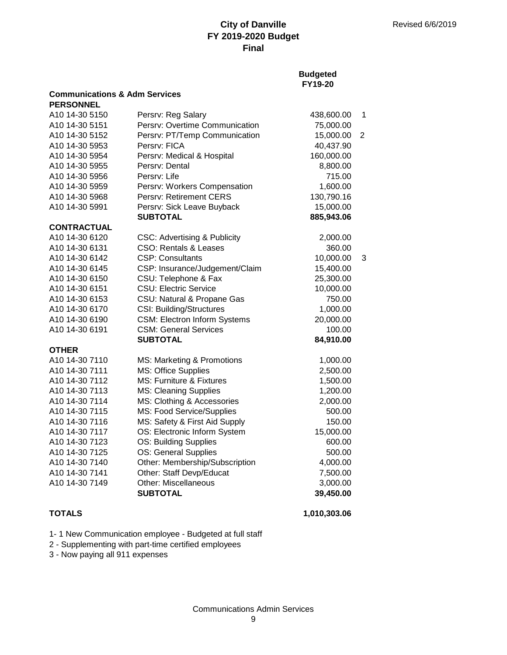## **Budgeted FY19-20**

| <b>Communications &amp; Adm Services</b><br><b>PERSONNEL</b> |                                         |            |                |
|--------------------------------------------------------------|-----------------------------------------|------------|----------------|
| A10 14-30 5150                                               | Persrv: Reg Salary                      | 438,600.00 | 1              |
| A <sub>10</sub> 14-30 5151                                   | Persrv: Overtime Communication          | 75,000.00  |                |
| A10 14-30 5152                                               | Persrv: PT/Temp Communication           | 15,000.00  | $\overline{2}$ |
| A10 14-30 5953                                               | Persry: FICA                            | 40,437.90  |                |
| A10 14-30 5954                                               | Persrv: Medical & Hospital              | 160,000.00 |                |
| A10 14-30 5955                                               | Persry: Dental                          | 8,800.00   |                |
| A10 14-30 5956                                               | Persrv: Life                            | 715.00     |                |
| A10 14-30 5959                                               | Persrv: Workers Compensation            | 1,600.00   |                |
| A <sub>10</sub> 14-30 5968                                   | Persrv: Retirement CERS                 | 130,790.16 |                |
| A10 14-30 5991                                               | Persrv: Sick Leave Buyback              | 15,000.00  |                |
|                                                              | <b>SUBTOTAL</b>                         | 885,943.06 |                |
| <b>CONTRACTUAL</b>                                           |                                         |            |                |
| A10 14-30 6120                                               | <b>CSC: Advertising &amp; Publicity</b> | 2,000.00   |                |
| A10 14-30 6131                                               | <b>CSO: Rentals &amp; Leases</b>        | 360.00     |                |
| A10 14-30 6142                                               | <b>CSP: Consultants</b>                 | 10,000.00  | 3              |
| A10 14-30 6145                                               | CSP: Insurance/Judgement/Claim          | 15,400.00  |                |
| A10 14-30 6150                                               | CSU: Telephone & Fax                    | 25,300.00  |                |
| A10 14-30 6151                                               | <b>CSU: Electric Service</b>            | 10,000.00  |                |
| A10 14-30 6153                                               | CSU: Natural & Propane Gas              | 750.00     |                |
| A10 14-30 6170                                               | <b>CSI: Building/Structures</b>         | 1,000.00   |                |
| A10 14-30 6190                                               | <b>CSM: Electron Inform Systems</b>     | 20,000.00  |                |
| A10 14-30 6191                                               | <b>CSM: General Services</b>            | 100.00     |                |
|                                                              | <b>SUBTOTAL</b>                         | 84,910.00  |                |
| <b>OTHER</b>                                                 |                                         |            |                |
| A10 14-30 7110                                               | MS: Marketing & Promotions              | 1,000.00   |                |
| A10 14-30 7111                                               | MS: Office Supplies                     | 2,500.00   |                |
| A10 14-30 7112                                               | MS: Furniture & Fixtures                | 1,500.00   |                |
| A10 14-30 7113                                               | <b>MS: Cleaning Supplies</b>            | 1,200.00   |                |
| A10 14-30 7114                                               | MS: Clothing & Accessories              | 2,000.00   |                |
| A10 14-30 7115                                               | MS: Food Service/Supplies               | 500.00     |                |
| A10 14-30 7116                                               | MS: Safety & First Aid Supply           | 150.00     |                |
| A10 14-30 7117                                               | OS: Electronic Inform System            | 15,000.00  |                |
| A10 14-30 7123                                               | OS: Building Supplies                   | 600.00     |                |
| A10 14-30 7125                                               | OS: General Supplies                    | 500.00     |                |
| A10 14-30 7140                                               | Other: Membership/Subscription          | 4,000.00   |                |
| A10 14-30 7141                                               | Other: Staff Devp/Educat                | 7,500.00   |                |
| A10 14-30 7149                                               | <b>Other: Miscellaneous</b>             | 3,000.00   |                |
|                                                              | <b>SUBTOTAL</b>                         | 39,450.00  |                |

**TOTALS 1,010,303.06**

1- 1 New Communication employee - Budgeted at full staff

2 - Supplementing with part-time certified employees

3 - Now paying all 911 expenses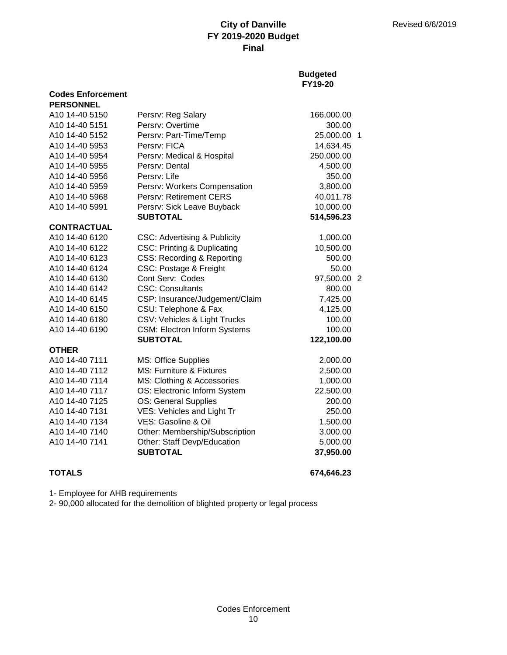## **Budgeted FY19-20**

| <b>PERSONNEL</b>   |                                         |             |  |
|--------------------|-----------------------------------------|-------------|--|
| A10 14-40 5150     | Persrv: Reg Salary                      | 166,000.00  |  |
| A10 14-40 5151     | Persrv: Overtime                        | 300.00      |  |
| A10 14-40 5152     | Persrv: Part-Time/Temp                  | 25,000.00 1 |  |
| A10 14-40 5953     | Persrv: FICA                            | 14,634.45   |  |
| A10 14-40 5954     | Persrv: Medical & Hospital              | 250,000.00  |  |
| A10 14-40 5955     | Persry: Dental                          | 4,500.00    |  |
| A10 14-40 5956     | Persry: Life                            | 350.00      |  |
| A10 14-40 5959     | Persrv: Workers Compensation            | 3,800.00    |  |
| A10 14-40 5968     | <b>Persry: Retirement CERS</b>          | 40,011.78   |  |
| A10 14-40 5991     | Persrv: Sick Leave Buyback              | 10,000.00   |  |
|                    | <b>SUBTOTAL</b>                         | 514,596.23  |  |
| <b>CONTRACTUAL</b> |                                         |             |  |
| A10 14-40 6120     | <b>CSC: Advertising &amp; Publicity</b> | 1,000.00    |  |
| A10 14-40 6122     | <b>CSC: Printing &amp; Duplicating</b>  | 10,500.00   |  |
| A10 14-40 6123     | <b>CSS: Recording &amp; Reporting</b>   | 500.00      |  |
| A10 14-40 6124     | CSC: Postage & Freight                  | 50.00       |  |
| A10 14-40 6130     | Cont Serv: Codes                        | 97,500.00 2 |  |
| A10 14-40 6142     | <b>CSC: Consultants</b>                 | 800.00      |  |
| A10 14-40 6145     | CSP: Insurance/Judgement/Claim          | 7,425.00    |  |
| A10 14-40 6150     | CSU: Telephone & Fax                    | 4,125.00    |  |
| A10 14-40 6180     | CSV: Vehicles & Light Trucks            | 100.00      |  |
| A10 14-40 6190     | <b>CSM: Electron Inform Systems</b>     | 100.00      |  |
|                    | <b>SUBTOTAL</b>                         | 122,100.00  |  |
| <b>OTHER</b>       |                                         |             |  |
| A10 14-40 7111     | <b>MS: Office Supplies</b>              | 2,000.00    |  |
| A10 14-40 7112     | MS: Furniture & Fixtures                | 2,500.00    |  |
| A10 14-40 7114     | MS: Clothing & Accessories              | 1,000.00    |  |
| A10 14-40 7117     | OS: Electronic Inform System            | 22,500.00   |  |
| A10 14-40 7125     | OS: General Supplies                    | 200.00      |  |
| A10 14-40 7131     | VES: Vehicles and Light Tr              | 250.00      |  |
| A10 14-40 7134     | VES: Gasoline & Oil                     | 1,500.00    |  |
| A10 14-40 7140     | Other: Membership/Subscription          | 3,000.00    |  |
| A10 14-40 7141     | Other: Staff Devp/Education             | 5,000.00    |  |
|                    | <b>SUBTOTAL</b>                         | 37,950.00   |  |
|                    |                                         |             |  |

**Codes Enforcement**

**TOTALS 674,646.23**

1- Employee for AHB requirements

2- 90,000 allocated for the demolition of blighted property or legal process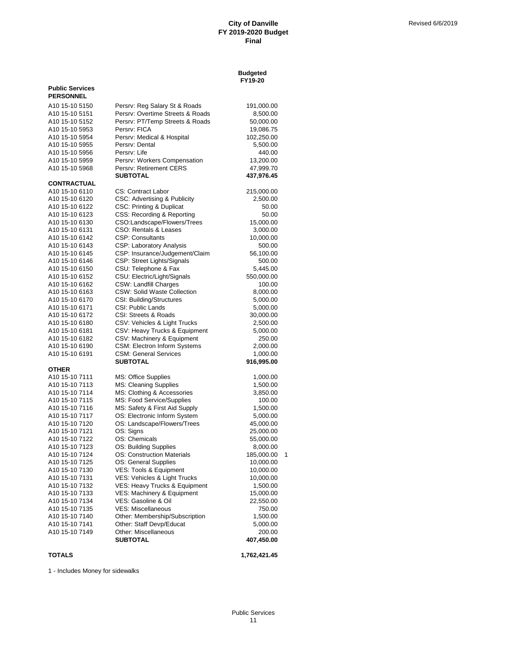#### **Budgeted FY19-20**

| <b>Public Services</b>           |                                                            |                        |  |
|----------------------------------|------------------------------------------------------------|------------------------|--|
| <b>PERSONNEL</b>                 |                                                            |                        |  |
| A <sub>10</sub> 15-10 5150       | Persrv: Reg Salary St & Roads                              | 191,000.00             |  |
| A10 15-10 5151                   | Persry: Overtime Streets & Roads                           | 8,500.00               |  |
| A10 15-10 5152                   | Persrv: PT/Temp Streets & Roads                            | 50,000.00              |  |
| A10 15-10 5953                   | Persrv: FICA                                               | 19,086.75              |  |
| A10 15-10 5954                   | Persrv: Medical & Hospital                                 | 102,250.00             |  |
| A10 15-10 5955                   | Persrv: Dental                                             | 5,500.00               |  |
| A10 15-10 5956                   | Persrv: Life                                               | 440.00                 |  |
| A10 15-10 5959                   | Persrv: Workers Compensation                               | 13,200.00              |  |
| A10 15-10 5968                   | Persrv: Retirement CERS                                    | 47,999.70              |  |
|                                  | <b>SUBTOTAL</b>                                            | 437,976.45             |  |
| <b>CONTRACTUAL</b>               |                                                            |                        |  |
| A10 15-10 6110                   | <b>CS: Contract Labor</b>                                  | 215,000.00             |  |
| A10 15-10 6120                   | CSC: Advertising & Publicity                               | 2,500.00               |  |
| A10 15-10 6122                   | CSC: Printing & Duplicat                                   | 50.00                  |  |
| A <sub>10</sub> 15-10 6123       | CSS: Recording & Reporting                                 | 50.00                  |  |
| A10 15-10 6130                   | CSO:Landscape/Flowers/Trees                                | 15,000.00              |  |
| A10 15-10 6131                   | CSO: Rentals & Leases                                      | 3,000.00               |  |
| A10 15-10 6142<br>A10 15-10 6143 | <b>CSP: Consultants</b>                                    | 10,000.00              |  |
| A10 15-10 6145                   | CSP: Laboratory Analysis<br>CSP: Insurance/Judgement/Claim | 500.00                 |  |
| A <sub>10</sub> 15-10 6146       | CSP: Street Lights/Signals                                 | 56,100.00<br>500.00    |  |
| A <sub>10</sub> 15-10 6150       | CSU: Telephone & Fax                                       | 5,445.00               |  |
| A <sub>10</sub> 15-10 6152       | CSU: Electric/Light/Signals                                | 550,000.00             |  |
| A10 15-10 6162                   | <b>CSW: Landfill Charges</b>                               | 100.00                 |  |
| A10 15-10 6163                   | CSW: Solid Waste Collection                                | 8,000.00               |  |
| A <sub>10</sub> 15-10 6170       | CSI: Building/Structures                                   | 5,000.00               |  |
| A10 15-10 6171                   | <b>CSI: Public Lands</b>                                   | 5,000.00               |  |
| A <sub>10</sub> 15-10 6172       | CSI: Streets & Roads                                       | 30,000.00              |  |
| A10 15-10 6180                   | CSV: Vehicles & Light Trucks                               | 2,500.00               |  |
| A10 15-10 6181                   | CSV: Heavy Trucks & Equipment                              | 5,000.00               |  |
| A <sub>10</sub> 15-10 6182       | CSV: Machinery & Equipment                                 | 250.00                 |  |
| A10 15-10 6190                   | <b>CSM: Electron Inform Systems</b>                        | 2,000.00               |  |
| A10 15-10 6191                   | <b>CSM: General Services</b>                               | 1,000.00               |  |
|                                  | <b>SUBTOTAL</b>                                            | 916,995.00             |  |
| <b>OTHER</b>                     |                                                            |                        |  |
| A10 15-10 7111                   | MS: Office Supplies                                        | 1,000.00               |  |
| A10 15-10 7113                   | MS: Cleaning Supplies                                      | 1,500.00               |  |
| A10 15-10 7114                   | MS: Clothing & Accessories                                 | 3,850.00               |  |
| A10 15-10 7115                   | MS: Food Service/Supplies                                  | 100.00                 |  |
| A <sub>10</sub> 15-10 7116       | MS: Safety & First Aid Supply                              | 1,500.00               |  |
| A10 15-10 7117                   | OS: Electronic Inform System                               | 5,000.00               |  |
| A10 15-10 7120                   | OS: Landscape/Flowers/Trees<br>OS: Signs                   | 45,000.00              |  |
| A10 15-10 7121<br>A10 15-10 7122 | OS: Chemicals                                              | 25,000.00<br>55,000.00 |  |
| A10 15-10 7123                   | OS: Building Supplies                                      | 8,000.00               |  |
| A10 15-10 7124                   | OS: Construction Materials                                 | 185,000.00             |  |
| A10 15-10 7125                   | OS: General Supplies                                       | 10,000.00              |  |
| A10 15-10 7130                   | VES: Tools & Equipment                                     | 10,000.00              |  |
| A10 15-10 7131                   | VES: Vehicles & Light Trucks                               | 10,000.00              |  |
| A10 15-10 7132                   | VES: Heavy Trucks & Equipment                              | 1,500.00               |  |
| A10 15-10 7133                   | VES: Machinery & Equipment                                 | 15,000.00              |  |
| A10 15-10 7134                   | VES: Gasoline & Oil                                        | 22,550.00              |  |
| A10 15-10 7135                   | <b>VES: Miscellaneous</b>                                  | 750.00                 |  |
| A10 15-10 7140                   | Other: Membership/Subscription                             | 1,500.00               |  |
| A10 15-10 7141                   | Other: Staff Devp/Educat                                   | 5,000.00               |  |
| A10 15-10 7149                   | Other: Miscellaneous                                       | 200.00                 |  |
|                                  | <b>SUBTOTAL</b>                                            | 407,450.00             |  |
| <b>TOTALS</b>                    |                                                            | 1,762,421.45           |  |
|                                  |                                                            |                        |  |

1 - Includes Money for sidewalks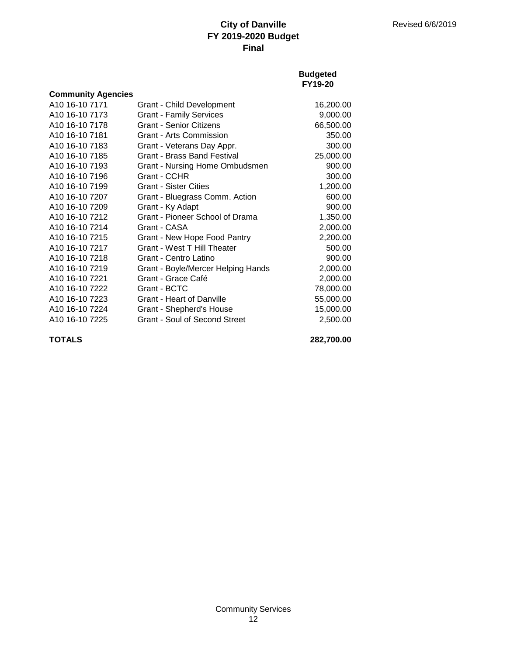### **Budgeted FY19-20**

| <b>Community Agencies</b>  |                                      |           |
|----------------------------|--------------------------------------|-----------|
| A10 16-10 7171             | Grant - Child Development            | 16,200.00 |
| A10 16-10 7173             | <b>Grant - Family Services</b>       | 9,000.00  |
| A10 16-10 7178             | <b>Grant - Senior Citizens</b>       | 66,500.00 |
| A10 16-10 7181             | <b>Grant - Arts Commission</b>       | 350.00    |
| A10 16-10 7183             | Grant - Veterans Day Appr.           | 300.00    |
| A <sub>10</sub> 16-10 7185 | <b>Grant - Brass Band Festival</b>   | 25,000.00 |
| A10 16-10 7193             | Grant - Nursing Home Ombudsmen       | 900.00    |
| A10 16-10 7196             | Grant - CCHR                         | 300.00    |
| A10 16-10 7199             | <b>Grant - Sister Cities</b>         | 1,200.00  |
| A10 16-10 7207             | Grant - Bluegrass Comm. Action       | 600.00    |
| A <sub>10</sub> 16-10 7209 | Grant - Ky Adapt                     | 900.00    |
| A10 16-10 7212             | Grant - Pioneer School of Drama      | 1,350.00  |
| A10 16-10 7214             | Grant - CASA                         | 2,000.00  |
| A <sub>10</sub> 16-10 7215 | Grant - New Hope Food Pantry         | 2,200.00  |
| A10 16-10 7217             | Grant - West T Hill Theater          | 500.00    |
| A10 16-10 7218             | Grant - Centro Latino                | 900.00    |
| A10 16-10 7219             | Grant - Boyle/Mercer Helping Hands   | 2,000.00  |
| A <sub>10</sub> 16-10 7221 | Grant - Grace Café                   | 2,000.00  |
| A <sub>10</sub> 16-10 7222 | Grant - BCTC                         | 78,000.00 |
| A10 16-10 7223             | <b>Grant - Heart of Danville</b>     | 55,000.00 |
| A10 16-10 7224             | Grant - Shepherd's House             | 15,000.00 |
| A10 16-10 7225             | <b>Grant - Soul of Second Street</b> | 2,500.00  |
|                            |                                      |           |

**TOTALS 282,700.00**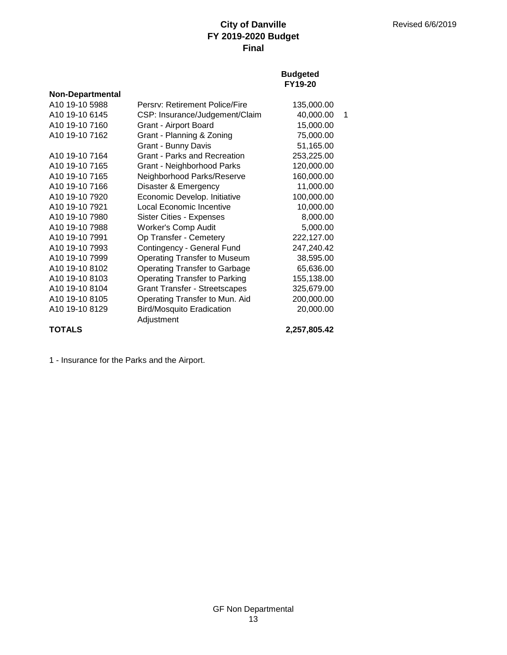### **Budgeted FY19-20**

| <b>Non-Departmental</b>    |                                      |              |   |
|----------------------------|--------------------------------------|--------------|---|
| A10 19-10 5988             | Persry: Retirement Police/Fire       | 135,000.00   |   |
| A10 19-10 6145             | CSP: Insurance/Judgement/Claim       | 40,000.00    | 1 |
| A10 19-10 7160             | Grant - Airport Board                | 15,000.00    |   |
| A <sub>10</sub> 19-10 7162 | Grant - Planning & Zoning            | 75,000.00    |   |
|                            | Grant - Bunny Davis                  | 51,165.00    |   |
| A10 19-10 7164             | Grant - Parks and Recreation         | 253,225.00   |   |
| A10 19-10 7165             | Grant - Neighborhood Parks           | 120,000.00   |   |
| A10 19-10 7165             | Neighborhood Parks/Reserve           | 160,000.00   |   |
| A10 19-10 7166             | Disaster & Emergency                 | 11,000.00    |   |
| A10 19-10 7920             | Economic Develop. Initiative         | 100,000.00   |   |
| A10 19-10 7921             | Local Economic Incentive             | 10,000.00    |   |
| A <sub>10</sub> 19-10 7980 | <b>Sister Cities - Expenses</b>      | 8,000.00     |   |
| A10 19-10 7988             | <b>Worker's Comp Audit</b>           | 5,000.00     |   |
| A10 19-10 7991             | Op Transfer - Cemetery               | 222,127.00   |   |
| A10 19-10 7993             | Contingency - General Fund           | 247,240.42   |   |
| A10 19-10 7999             | <b>Operating Transfer to Museum</b>  | 38,595.00    |   |
| A10 19-10 8102             | <b>Operating Transfer to Garbage</b> | 65,636.00    |   |
| A10 19-10 8103             | <b>Operating Transfer to Parking</b> | 155,138.00   |   |
| A10 19-10 8104             | <b>Grant Transfer - Streetscapes</b> | 325,679.00   |   |
| A10 19-10 8105             | Operating Transfer to Mun. Aid       | 200,000.00   |   |
| A10 19-10 8129             | <b>Bird/Mosquito Eradication</b>     | 20,000.00    |   |
|                            | Adjustment                           |              |   |
| <b>TOTALS</b>              |                                      | 2,257,805.42 |   |

1 - Insurance for the Parks and the Airport.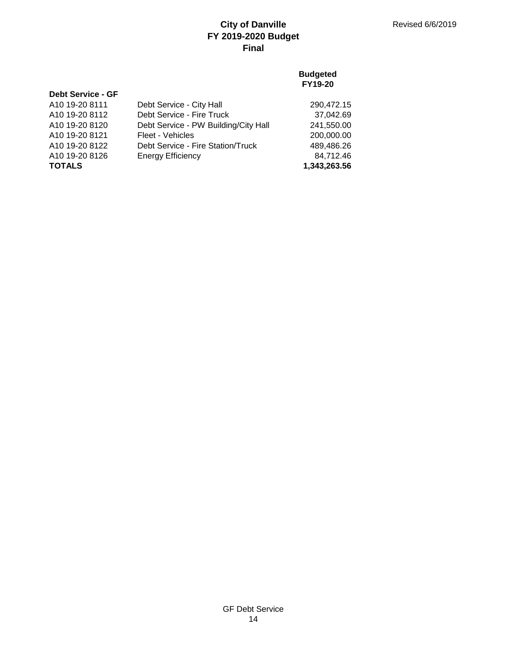## **Budgeted FY19-20**

| <b>Debt Service - GF</b> |                                      |              |
|--------------------------|--------------------------------------|--------------|
| A10 19-20 8111           | Debt Service - City Hall             | 290,472.15   |
| A10 19-20 8112           | Debt Service - Fire Truck            | 37,042.69    |
| A10 19-20 8120           | Debt Service - PW Building/City Hall | 241,550.00   |
| A10 19-20 8121           | Fleet - Vehicles                     | 200,000.00   |
| A10 19-20 8122           | Debt Service - Fire Station/Truck    | 489,486.26   |
| A10 19-20 8126           | <b>Energy Efficiency</b>             | 84,712.46    |
| <b>TOTALS</b>            |                                      | 1,343,263.56 |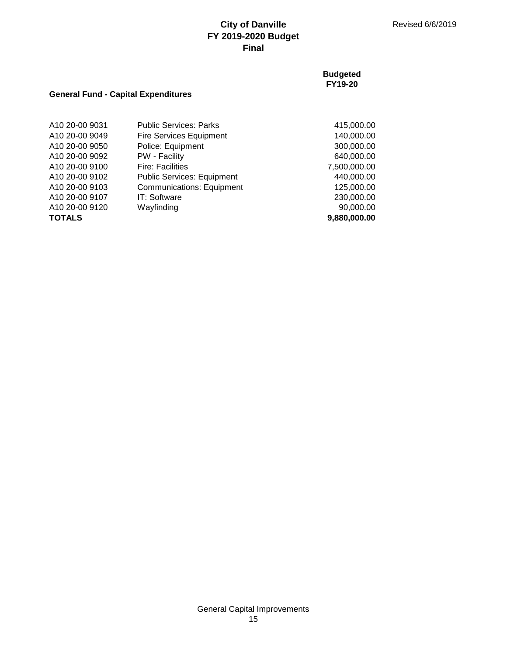### **Budgeted FY19-20**

## **General Fund - Capital Expenditures**

| A10 20-00 9031 | <b>Public Services: Parks</b>     | 415,000.00   |
|----------------|-----------------------------------|--------------|
| A10 20-00 9049 | <b>Fire Services Equipment</b>    | 140,000.00   |
| A10 20-00 9050 | Police: Equipment                 | 300,000.00   |
| A10 20-00 9092 | PW - Facility                     | 640,000.00   |
| A10 20-00 9100 | <b>Fire: Facilities</b>           | 7,500,000.00 |
| A10 20-00 9102 | <b>Public Services: Equipment</b> | 440,000.00   |
| A10 20-00 9103 | <b>Communications: Equipment</b>  | 125,000.00   |
| A10 20-00 9107 | IT: Software                      | 230,000.00   |
| A10 20-00 9120 | Wayfinding                        | 90,000.00    |
| <b>TOTALS</b>  |                                   | 9,880,000.00 |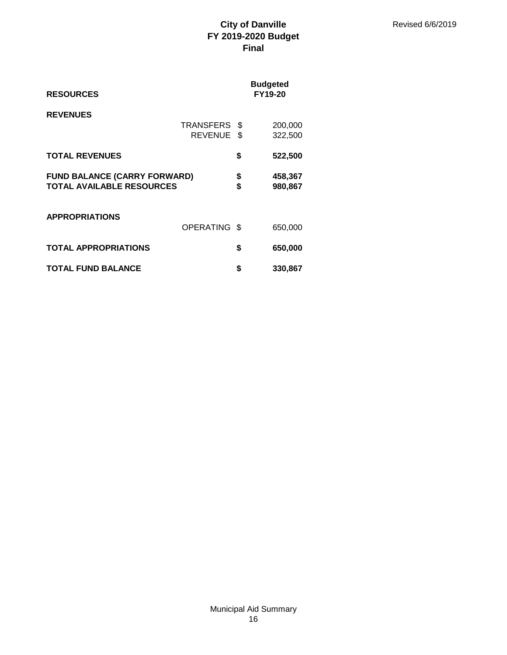| <b>RESOURCES</b>                                                        |                             |              | <b>Budgeted</b><br><b>FY19-20</b> |
|-------------------------------------------------------------------------|-----------------------------|--------------|-----------------------------------|
| <b>REVENUES</b>                                                         | TRANSFERS<br><b>REVENUE</b> | - \$<br>- \$ | 200,000<br>322,500                |
| <b>TOTAL REVENUES</b>                                                   |                             | \$           | 522,500                           |
| <b>FUND BALANCE (CARRY FORWARD)</b><br><b>TOTAL AVAILABLE RESOURCES</b> |                             | \$<br>\$     | 458,367<br>980,867                |
| <b>APPROPRIATIONS</b>                                                   | <b>OPERATING</b>            | - \$         | 650,000                           |
| <b>TOTAL APPROPRIATIONS</b>                                             |                             | \$           | 650,000                           |
| <b>TOTAL FUND BALANCE</b>                                               |                             | S            | 330,867                           |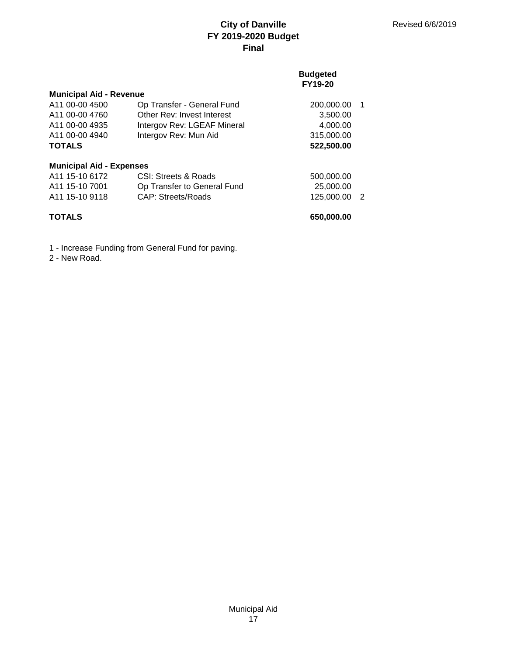### **Budgeted FY19-20**

| <b>Municipal Aid - Revenue</b>  |                             |            |                |
|---------------------------------|-----------------------------|------------|----------------|
| A <sub>11</sub> 00-00 4500      | Op Transfer - General Fund  | 200,000.00 | $\overline{1}$ |
| A <sub>11</sub> 00-00 4760      | Other Rev: Invest Interest  | 3,500.00   |                |
| A <sub>11</sub> 00-00 4935      | Intergov Rev: LGEAF Mineral | 4,000.00   |                |
| A11 00-00 4940                  | Intergov Rev: Mun Aid       | 315,000.00 |                |
| <b>TOTALS</b>                   |                             | 522,500.00 |                |
| <b>Municipal Aid - Expenses</b> |                             |            |                |
| A <sub>11</sub> 15-10 6172      | CSI: Streets & Roads        | 500,000.00 |                |
| A <sub>11</sub> 15-10 7001      | Op Transfer to General Fund | 25,000,00  |                |
| A <sub>11</sub> 15-10 9118      | <b>CAP: Streets/Roads</b>   | 125,000.00 | - 2            |
| <b>TOTALS</b>                   |                             | 650,000.00 |                |

1 - Increase Funding from General Fund for paving.

2 - New Road.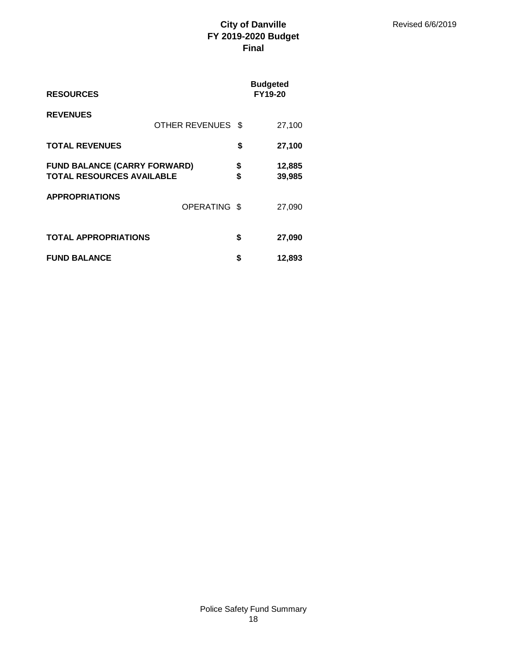| <b>RESOURCES</b>                                                        |                       |          | <b>Budgeted</b><br>FY19-20 |
|-------------------------------------------------------------------------|-----------------------|----------|----------------------------|
| <b>REVENUES</b>                                                         | <b>OTHER REVENUES</b> | - \$     | 27,100                     |
| <b>TOTAL REVENUES</b>                                                   |                       | \$       | 27,100                     |
| <b>FUND BALANCE (CARRY FORWARD)</b><br><b>TOTAL RESOURCES AVAILABLE</b> |                       | \$<br>\$ | 12,885<br>39,985           |
| <b>APPROPRIATIONS</b>                                                   | <b>OPERATING</b>      | - \$     | 27,090                     |
| <b>TOTAL APPROPRIATIONS</b>                                             |                       | \$       | 27,090                     |
| <b>FUND BALANCE</b>                                                     |                       | \$       | 12,893                     |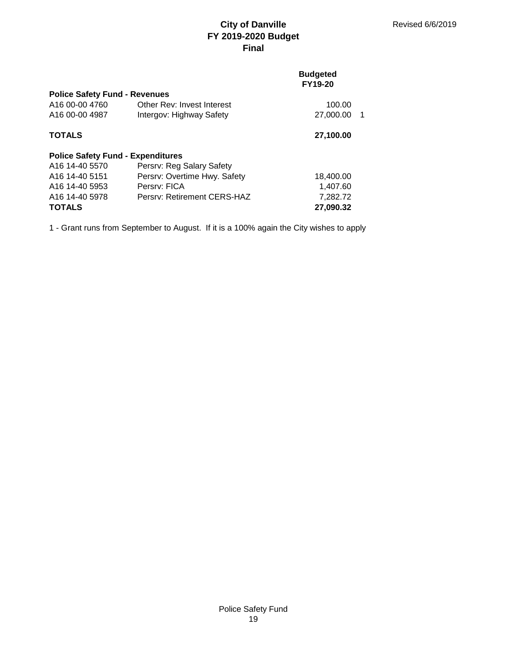### **Budgeted FY19-20**

| <b>Police Safety Fund - Revenues</b>     |                              |                 |
|------------------------------------------|------------------------------|-----------------|
| A16 00-00 4760                           | Other Rev: Invest Interest   | 100.00          |
| A16 00-00 4987                           | Intergov: Highway Safety     | 27,000.00<br>-1 |
| <b>TOTALS</b>                            |                              | 27,100.00       |
| <b>Police Safety Fund - Expenditures</b> |                              |                 |
| A <sub>16</sub> 14-40 5570               | Persrv: Reg Salary Safety    |                 |
| A <sub>16</sub> 14-40 5151               | Persrv: Overtime Hwy. Safety | 18,400.00       |
| A16 14-40 5953                           | Persry: FICA                 | 1,407.60        |
| A16 14-40 5978                           | Persry: Retirement CERS-HAZ  | 7,282.72        |
| <b>TOTALS</b>                            |                              | 27,090.32       |

1 - Grant runs from September to August. If it is a 100% again the City wishes to apply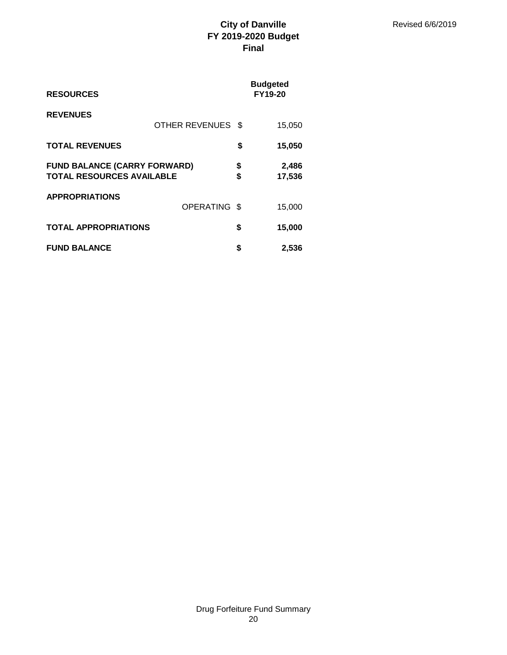| <b>RESOURCES</b>                                                        |                   |          | <b>Budgeted</b><br><b>FY19-20</b> |
|-------------------------------------------------------------------------|-------------------|----------|-----------------------------------|
| <b>REVENUES</b>                                                         | OTHER REVENUES \$ |          | 15,050                            |
| <b>TOTAL REVENUES</b>                                                   |                   | \$       | 15,050                            |
| <b>FUND BALANCE (CARRY FORWARD)</b><br><b>TOTAL RESOURCES AVAILABLE</b> |                   | \$<br>\$ | 2,486<br>17,536                   |
| <b>APPROPRIATIONS</b>                                                   | OPERATING \$      |          | 15,000                            |
| <b>TOTAL APPROPRIATIONS</b>                                             |                   | \$       | 15,000                            |
| <b>FUND BALANCE</b>                                                     |                   | \$       | 2,536                             |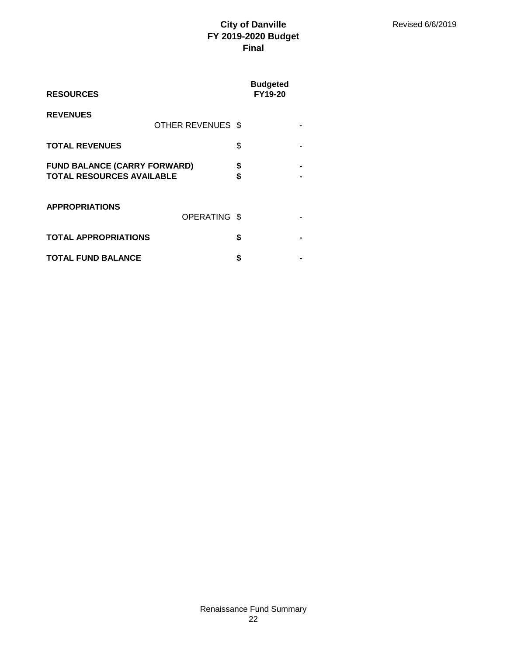| <b>RESOURCES</b>                                                        |                   |          | <b>Budgeted</b><br><b>FY19-20</b> |  |
|-------------------------------------------------------------------------|-------------------|----------|-----------------------------------|--|
| <b>REVENUES</b>                                                         | OTHER REVENUES \$ |          |                                   |  |
| <b>TOTAL REVENUES</b>                                                   |                   | \$       |                                   |  |
| <b>FUND BALANCE (CARRY FORWARD)</b><br><b>TOTAL RESOURCES AVAILABLE</b> |                   | \$<br>\$ |                                   |  |
| <b>APPROPRIATIONS</b>                                                   | OPERATING \$      |          |                                   |  |
| <b>TOTAL APPROPRIATIONS</b>                                             |                   | \$       |                                   |  |
| <b>TOTAL FUND BALANCE</b>                                               |                   | S        |                                   |  |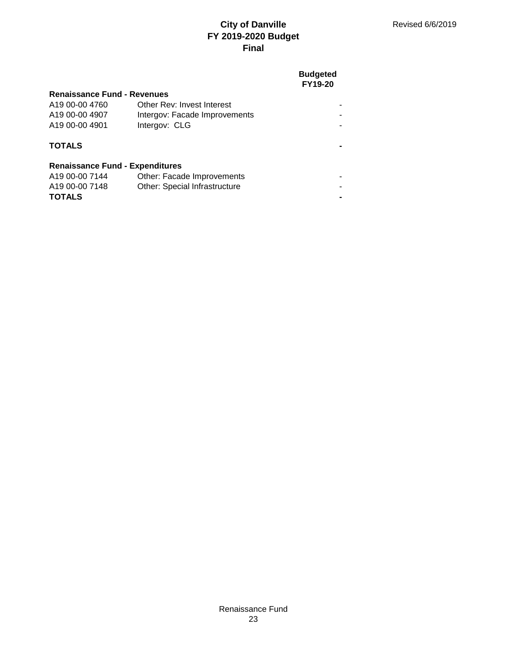## **Budgeted FY19-20**

| <b>Renaissance Fund - Revenues</b>     |                                      |  |
|----------------------------------------|--------------------------------------|--|
| A19 00-00 4760                         | Other Rev: Invest Interest           |  |
| A19 00-00 4907                         | Intergov: Facade Improvements        |  |
| A19 00-00 4901                         | Intergov: CLG                        |  |
| <b>TOTALS</b>                          |                                      |  |
| <b>Renaissance Fund - Expenditures</b> |                                      |  |
| A19 00-00 7144                         | Other: Facade Improvements           |  |
| A19 00-00 7148                         | <b>Other: Special Infrastructure</b> |  |
| <b>TOTALS</b>                          |                                      |  |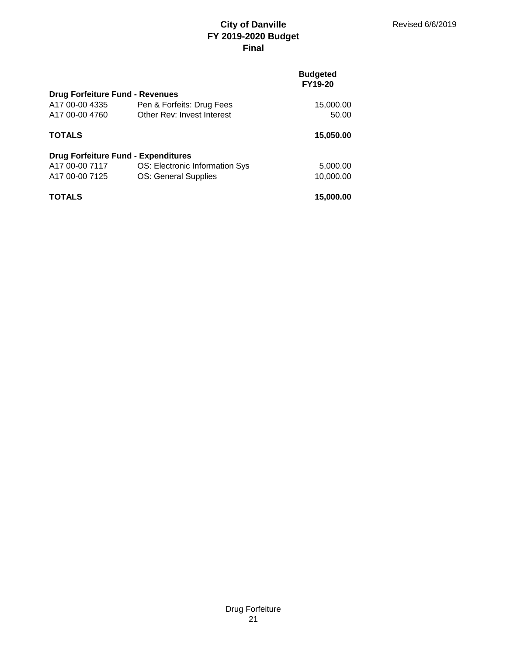## **Budgeted FY19-20**

| <b>Drug Forfeiture Fund - Revenues</b>     |                                |           |
|--------------------------------------------|--------------------------------|-----------|
| A17 00-00 4335                             | Pen & Forfeits: Drug Fees      | 15,000.00 |
| A17 00-00 4760                             | Other Rev: Invest Interest     | 50.00     |
| <b>TOTALS</b>                              |                                | 15,050.00 |
| <b>Drug Forfeiture Fund - Expenditures</b> |                                |           |
| A17 00-00 7117                             | OS: Electronic Information Sys | 5,000.00  |
| A17 00-00 7125                             | <b>OS: General Supplies</b>    | 10,000.00 |
| <b>TOTALS</b>                              |                                | 15,000.00 |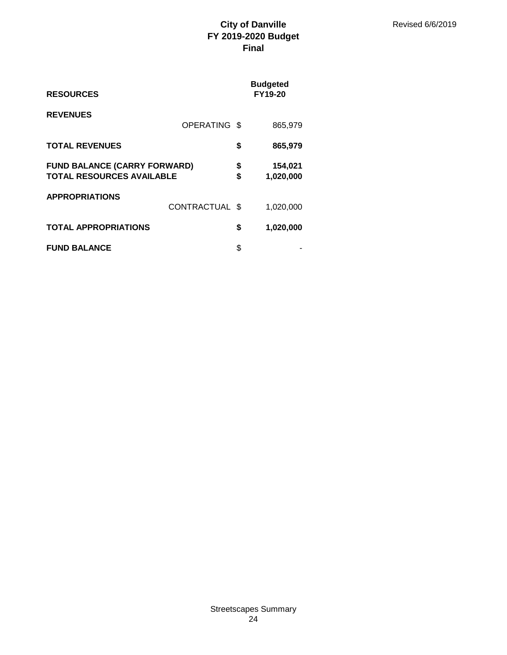| <b>RESOURCES</b>                                                        |                |          | <b>Budgeted</b><br>FY19-20 |
|-------------------------------------------------------------------------|----------------|----------|----------------------------|
| <b>REVENUES</b>                                                         | OPERATING \$   |          | 865,979                    |
| <b>TOTAL REVENUES</b>                                                   |                | \$       | 865,979                    |
| <b>FUND BALANCE (CARRY FORWARD)</b><br><b>TOTAL RESOURCES AVAILABLE</b> |                | \$<br>\$ | 154,021<br>1,020,000       |
| <b>APPROPRIATIONS</b>                                                   | CONTRACTUAL \$ |          | 1,020,000                  |
| <b>TOTAL APPROPRIATIONS</b>                                             |                | \$       | 1,020,000                  |
| <b>FUND BALANCE</b>                                                     |                | \$       |                            |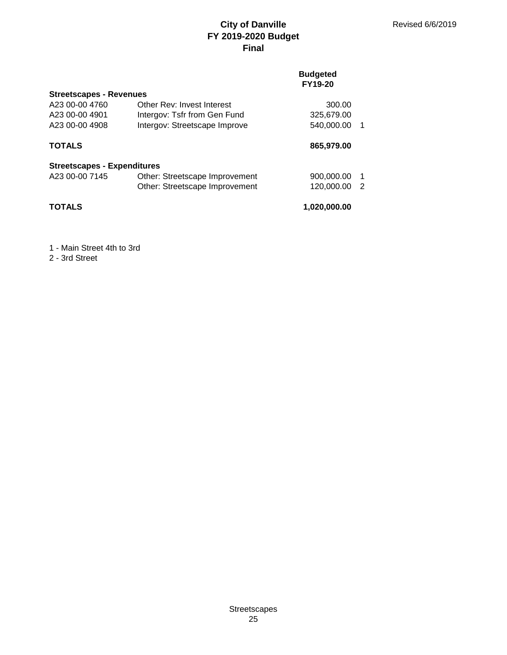## **Budgeted FY19-20**

| <b>Streetscapes - Revenues</b>     |                                |              |    |
|------------------------------------|--------------------------------|--------------|----|
| A23 00-00 4760                     | Other Rev: Invest Interest     | 300.00       |    |
| A23 00-00 4901                     | Intergov: Tsfr from Gen Fund   | 325,679.00   |    |
| A23 00-00 4908                     | Intergov: Streetscape Improve  | 540,000.00   |    |
| <b>TOTALS</b>                      |                                | 865,979.00   |    |
| <b>Streetscapes - Expenditures</b> |                                |              |    |
| A23 00-00 7145                     | Other: Streetscape Improvement | 900,000.00   | -1 |
|                                    | Other: Streetscape Improvement | 120,000.00   | -2 |
| <b>TOTALS</b>                      |                                | 1,020,000.00 |    |

## 1 - Main Street 4th to 3rd

2 - 3rd Street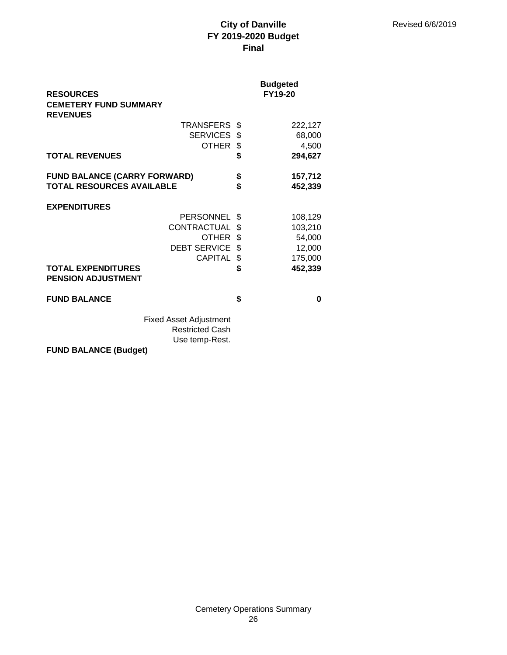| <b>RESOURCES</b>                                       | <b>Budgeted</b><br>FY19-20 |
|--------------------------------------------------------|----------------------------|
| <b>CEMETERY FUND SUMMARY</b>                           |                            |
| <b>REVENUES</b>                                        |                            |
| <b>TRANSFERS</b>                                       | \$<br>222,127              |
| SERVICES \$                                            | 68,000                     |
| <b>OTHER</b>                                           | \$<br>4,500                |
| <b>TOTAL REVENUES</b>                                  | \$<br>294,627              |
| <b>FUND BALANCE (CARRY FORWARD)</b>                    | \$<br>157,712              |
| <b>TOTAL RESOURCES AVAILABLE</b>                       | \$<br>452,339              |
| <b>EXPENDITURES</b>                                    |                            |
| <b>PERSONNEL</b>                                       | \$<br>108,129              |
| CONTRACTUAL                                            | \$<br>103,210              |
| OTHER                                                  | \$<br>54,000               |
| DEBT SERVICE \$                                        | 12,000                     |
| <b>CAPITAL</b>                                         | \$<br>175,000              |
| <b>TOTAL EXPENDITURES</b><br><b>PENSION ADJUSTMENT</b> | \$<br>452,339              |
| <b>FUND BALANCE</b>                                    | \$<br>0                    |
|                                                        |                            |
| <b>Fixed Asset Adjustment</b>                          |                            |
| <b>Restricted Cash</b>                                 |                            |
| Use temp-Rest.                                         |                            |

**FUND BALANCE (Budget)**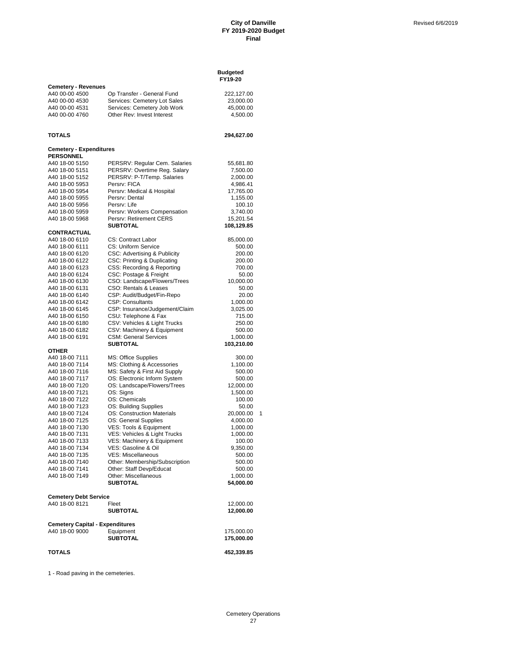**Budgeted**

|                                |                                        | FY19-20        |  |  |  |
|--------------------------------|----------------------------------------|----------------|--|--|--|
| <b>Cemetery - Revenues</b>     |                                        |                |  |  |  |
| A40 00-00 4500                 | Op Transfer - General Fund             | 222,127.00     |  |  |  |
| A40 00-00 4530                 | Services: Cemetery Lot Sales           | 23,000.00      |  |  |  |
| A40 00-00 4531                 | Services: Cemetery Job Work            |                |  |  |  |
|                                |                                        | 45,000.00      |  |  |  |
| A40 00-00 4760                 | Other Rev: Invest Interest             | 4,500.00       |  |  |  |
|                                |                                        |                |  |  |  |
|                                |                                        |                |  |  |  |
| TOTALS                         |                                        | 294,627.00     |  |  |  |
|                                |                                        |                |  |  |  |
| <b>Cemetery - Expenditures</b> |                                        |                |  |  |  |
| <b>PERSONNEL</b>               |                                        |                |  |  |  |
| A40 18-00 5150                 | PERSRV: Regular Cem. Salaries          | 55,681.80      |  |  |  |
| A40 18-00 5151                 | PERSRV: Overtime Reg. Salary           | 7,500.00       |  |  |  |
| A40 18-00 5152                 | PERSRV: P-T/Temp. Salaries             | 2,000.00       |  |  |  |
| A40 18-00 5953                 | Persrv: FICA                           | 4,986.41       |  |  |  |
| A40 18-00 5954                 | Persrv: Medical & Hospital             | 17,765.00      |  |  |  |
| A40 18-00 5955                 | Persrv: Dental                         | 1,155.00       |  |  |  |
| A40 18-00 5956                 | Persrv: Life                           | 100.10         |  |  |  |
| A40 18-00 5959                 | Persrv: Workers Compensation           | 3,740.00       |  |  |  |
| A40 18-00 5968                 | Persrv: Retirement CERS                | 15,201.54      |  |  |  |
|                                | <b>SUBTOTAL</b>                        |                |  |  |  |
|                                |                                        | 108,129.85     |  |  |  |
| CONTRACTUAL                    |                                        |                |  |  |  |
| A40 18-00 6110                 | <b>CS: Contract Labor</b>              | 85,000.00      |  |  |  |
| A40 18-00 6111                 | CS: Uniform Service                    | 500.00         |  |  |  |
| A40 18-00 6120                 | CSC: Advertising & Publicity           | 200.00         |  |  |  |
| A40 18-00 6122                 | CSC: Printing & Duplicating            | 200.00         |  |  |  |
| A40 18-00 6123                 | CSS: Recording & Reporting             | 700.00         |  |  |  |
| A40 18-00 6124                 | CSC: Postage & Freight                 | 50.00          |  |  |  |
| A40 18-00 6130                 | CSO: Landscape/Flowers/Trees           | 10,000.00      |  |  |  |
| A40 18-00 6131                 | <b>CSO: Rentals &amp; Leases</b>       | 50.00          |  |  |  |
| A40 18-00 6140                 | CSP: Audit/Budget/Fin-Repo             | 20.00          |  |  |  |
| A40 18-00 6142                 | <b>CSP: Consultants</b>                | 1,000.00       |  |  |  |
| A40 18-00 6145                 | CSP: Insurance/Judgement/Claim         | 3,025.00       |  |  |  |
| A40 18-00 6150                 | CSU: Telephone & Fax                   | 715.00         |  |  |  |
|                                |                                        |                |  |  |  |
| A40 18-00 6180                 | CSV: Vehicles & Light Trucks           | 250.00         |  |  |  |
| A40 18-00 6182                 | CSV: Machinery & Equipment             | 500.00         |  |  |  |
| A40 18-00 6191                 | <b>CSM: General Services</b>           | 1,000.00       |  |  |  |
|                                | <b>SUBTOTAL</b>                        | 103,210.00     |  |  |  |
| <b>OTHER</b>                   |                                        |                |  |  |  |
| A40 18-00 7111                 | MS: Office Supplies                    | 300.00         |  |  |  |
| A40 18-00 7114                 | MS: Clothing & Accessories             | 1,100.00       |  |  |  |
| A40 18-00 7116                 | MS: Safety & First Aid Supply          | 500.00         |  |  |  |
| A40 18-00 7117                 | OS: Electronic Inform System           | 500.00         |  |  |  |
| A40 18-00 7120                 | OS: Landscape/Flowers/Trees            | 12,000.00      |  |  |  |
| A40 18-00 7121                 | OS: Signs                              | 1,500.00       |  |  |  |
| A40 18-00 7122                 | OS: Chemicals                          | 100.00         |  |  |  |
| A40 18-00 7123                 | OS: Building Supplies                  | 50.00          |  |  |  |
| A40 18-00 7124                 | OS: Construction Materials             | 20,000.00<br>1 |  |  |  |
| A40 18-00 7125                 | OS: General Supplies                   |                |  |  |  |
| A40 18-00 7130                 | VES: Tools & Equipment                 | 4,000.00       |  |  |  |
|                                |                                        | 1,000.00       |  |  |  |
| A40 18-00 7131                 | VES: Vehicles & Light Trucks           | 1,000.00       |  |  |  |
| A40 18-00 7133                 | VES: Machinery & Equipment             | 100.00         |  |  |  |
| A40 18-00 7134                 | VES: Gasoline & Oil                    | 9,350.00       |  |  |  |
| A40 18-00 7135                 | <b>VES: Miscellaneous</b>              | 500.00         |  |  |  |
| A40 18-00 7140                 | Other: Membership/Subscription         | 500.00         |  |  |  |
| A40 18-00 7141                 | Other: Staff Devp/Educat               | 500.00         |  |  |  |
| A40 18-00 7149                 | Other: Miscellaneous                   | 1,000.00       |  |  |  |
|                                | <b>SUBTOTAL</b>                        | 54,000.00      |  |  |  |
|                                |                                        |                |  |  |  |
| <b>Cemetery Debt Service</b>   |                                        |                |  |  |  |
| A40 18-00 8121                 | Fleet                                  | 12,000.00      |  |  |  |
|                                | <b>SUBTOTAL</b>                        | 12,000.00      |  |  |  |
|                                |                                        |                |  |  |  |
|                                | <b>Cemetery Capital - Expenditures</b> |                |  |  |  |
| A40 18-00 9000                 | Equipment                              | 175,000.00     |  |  |  |
|                                | SUBTOTAL                               | 175,000.00     |  |  |  |
|                                |                                        |                |  |  |  |
| <b>TOTALS</b>                  |                                        | 452,339.85     |  |  |  |
|                                |                                        |                |  |  |  |

1 - Road paving in the cemeteries.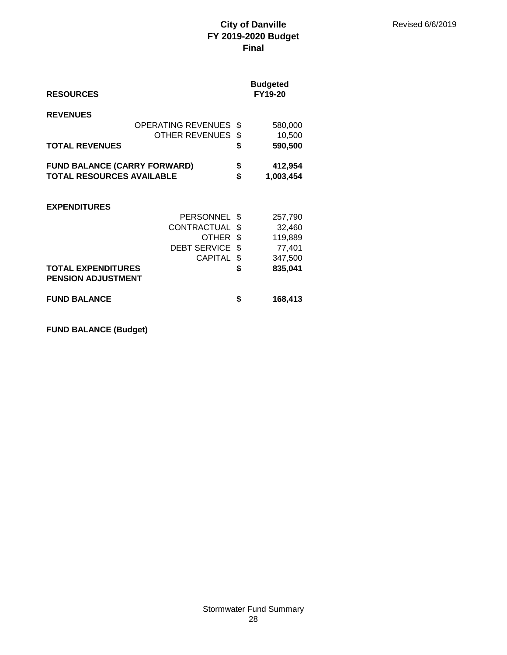| <b>RESOURCES</b>                                                        |                                                                                          |                                 | <b>Budgeted</b><br>FY19-20                                   |
|-------------------------------------------------------------------------|------------------------------------------------------------------------------------------|---------------------------------|--------------------------------------------------------------|
| <b>REVENUES</b><br><b>TOTAL REVENUES</b>                                | <b>OPERATING REVENUES</b><br><b>OTHER REVENUES</b>                                       | \$<br>\$<br>\$                  | 580,000<br>10,500<br>590,500                                 |
| <b>FUND BALANCE (CARRY FORWARD)</b><br><b>TOTAL RESOURCES AVAILABLE</b> |                                                                                          | \$<br>\$                        | 412,954<br>1,003,454                                         |
| <b>EXPENDITURES</b><br><b>TOTAL EXPENDITURES</b>                        | <b>PERSONNEL</b><br>CONTRACTUAL<br><b>OTHER</b><br><b>DEBT SERVICE</b><br><b>CAPITAL</b> | S<br>\$<br>\$<br>\$<br>\$<br>\$ | 257,790<br>32,460<br>119,889<br>77,401<br>347,500<br>835,041 |
| <b>PENSION ADJUSTMENT</b>                                               |                                                                                          |                                 |                                                              |
| <b>FUND BALANCE</b>                                                     |                                                                                          | \$                              | 168,413                                                      |

**FUND BALANCE (Budget)**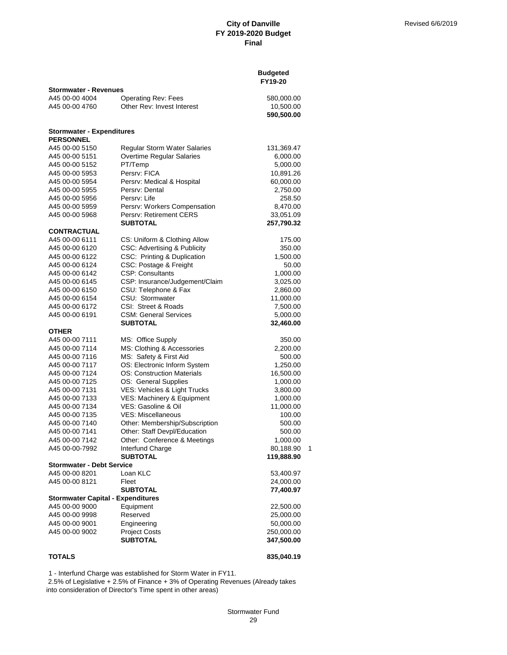|                                          |                                     | <b>Budgeted</b><br>FY19-20 |
|------------------------------------------|-------------------------------------|----------------------------|
| <b>Stormwater - Revenues</b>             |                                     |                            |
| A45 00-00 4004                           | <b>Operating Rev: Fees</b>          | 580,000.00                 |
| A45 00-00 4760                           | Other Rev: Invest Interest          | 10,500.00                  |
|                                          |                                     | 590,500.00                 |
| <b>Stormwater - Expenditures</b>         |                                     |                            |
| <b>PERSONNEL</b>                         |                                     |                            |
| A45 00-00 5150                           | <b>Regular Storm Water Salaries</b> | 131,369.47                 |
| A45 00-00 5151                           | Overtime Regular Salaries           | 6,000.00                   |
| A45 00-00 5152                           | PT/Temp                             | 5,000.00                   |
| A45 00-00 5953                           | Persry: FICA                        | 10,891.26                  |
| A45 00-00 5954                           | Persrv: Medical & Hospital          | 60,000.00                  |
| A45 00-00 5955                           | Persrv: Dental                      | 2,750.00                   |
| A45 00-00 5956                           | Persry: Life                        | 258.50                     |
| A45 00-00 5959                           | Persrv: Workers Compensation        | 8,470.00                   |
| A45 00-00 5968                           | Persrv: Retirement CERS             | 33,051.09                  |
|                                          | <b>SUBTOTAL</b>                     | 257,790.32                 |
| <b>CONTRACTUAL</b><br>A45 00-00 6111     | CS: Uniform & Clothing Allow        | 175.00                     |
| A45 00-00 6120                           | CSC: Advertising & Publicity        | 350.00                     |
| A45 00-00 6122                           | CSC: Printing & Duplication         | 1,500.00                   |
| A45 00-00 6124                           | CSC: Postage & Freight              | 50.00                      |
| A45 00-00 6142                           | <b>CSP: Consultants</b>             | 1,000.00                   |
| A45 00-00 6145                           | CSP: Insurance/Judgement/Claim      | 3,025.00                   |
| A45 00-00 6150                           | CSU: Telephone & Fax                | 2,860.00                   |
| A45 00-00 6154                           | CSU: Stormwater                     |                            |
| A45 00-00 6172                           | CSI: Street & Roads                 | 11,000.00                  |
| A45 00-00 6191                           | <b>CSM: General Services</b>        | 7,500.00                   |
|                                          | <b>SUBTOTAL</b>                     | 5,000.00<br>32,460.00      |
| <b>OTHER</b>                             |                                     |                            |
| A45 00-00 7111                           | MS: Office Supply                   | 350.00                     |
| A45 00-00 7114                           | MS: Clothing & Accessories          | 2,200.00                   |
| A45 00-00 7116                           | MS: Safety & First Aid              | 500.00                     |
| A45 00-00 7117                           | OS: Electronic Inform System        | 1,250.00                   |
| A45 00-00 7124                           | <b>OS: Construction Materials</b>   | 16,500.00                  |
| A45 00-00 7125                           | OS: General Supplies                | 1,000.00                   |
| A45 00-00 7131                           | VES: Vehicles & Light Trucks        | 3,800.00                   |
| A45 00-00 7133                           | VES: Machinery & Equipment          | 1,000.00                   |
| A45 00-00 7134                           | VES: Gasoline & Oil                 | 11,000.00                  |
| A45 00-00 7135                           | <b>VES: Miscellaneous</b>           | 100.00                     |
| A45 00-00 7140                           | Other: Membership/Subscription      | 500.00                     |
| A45 00-00 7141                           | Other: Staff Devpl/Education        | 500.00                     |
| A45 00-00 7142                           | Other: Conference & Meetings        | 1,000.00                   |
| A45 00-00-7992                           | Interfund Charge                    | 80,188.90<br>1             |
|                                          | <b>SUBTOTAL</b>                     | 119,888.90                 |
| <b>Stormwater - Debt Service</b>         |                                     |                            |
| A45 00-00 8201                           | Loan KLC                            | 53,400.97                  |
| A45 00-00 8121                           | Fleet                               | 24,000.00                  |
|                                          | <b>SUBTOTAL</b>                     | 77,400.97                  |
| <b>Stormwater Capital - Expenditures</b> |                                     |                            |
| A45 00-00 9000                           | Equipment                           | 22,500.00                  |
| A45 00-00 9998                           | Reserved                            | 25,000.00                  |
| A45 00-00 9001                           | Engineering                         | 50,000.00                  |
| A45 00-00 9002                           | <b>Project Costs</b>                | 250,000.00                 |
|                                          | <b>SUBTOTAL</b>                     | 347,500.00                 |
|                                          |                                     |                            |
| <b>TOTALS</b>                            |                                     | 835,040.19                 |

1 - Interfund Charge was established for Storm Water in FY11.

 2.5% of Legislative + 2.5% of Finance + 3% of Operating Revenues (Already takes into consideration of Director's Time spent in other areas)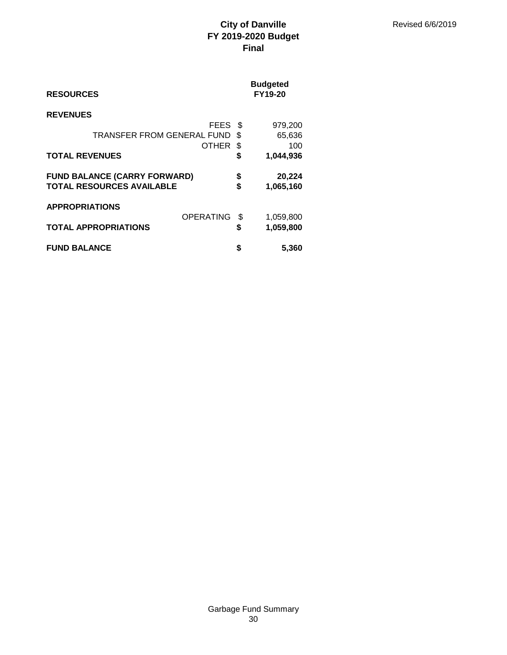| <b>RESOURCES</b>                    |    | <b>Budgeted</b><br><b>FY19-20</b> |
|-------------------------------------|----|-----------------------------------|
| <b>REVENUES</b>                     |    |                                   |
| FEES                                | \$ | 979,200                           |
| TRANSFER FROM GENERAL FUND          | \$ | 65,636                            |
| <b>OTHER</b>                        | \$ | 100                               |
| <b>TOTAL REVENUES</b>               |    | 1,044,936                         |
| <b>FUND BALANCE (CARRY FORWARD)</b> | \$ | 20,224                            |
| <b>TOTAL RESOURCES AVAILABLE</b>    | \$ | 1,065,160                         |
| <b>APPROPRIATIONS</b>               |    |                                   |
|                                     |    |                                   |
| <b>OPERATING</b>                    | \$ |                                   |
| <b>TOTAL APPROPRIATIONS</b>         | \$ | 1,059,800<br>1,059,800            |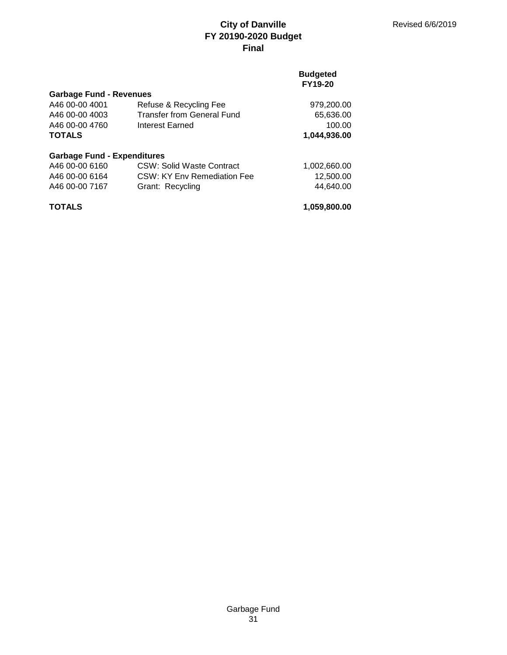## **Budgeted FY19-20**

| <b>Garbage Fund - Revenues</b>     |                                   |              |
|------------------------------------|-----------------------------------|--------------|
| A46 00-00 4001                     | Refuse & Recycling Fee            | 979,200.00   |
| A46 00-00 4003                     | <b>Transfer from General Fund</b> | 65,636.00    |
| A46 00-00 4760                     | Interest Earned                   | 100.00       |
| <b>TOTALS</b>                      |                                   | 1,044,936.00 |
| <b>Garbage Fund - Expenditures</b> |                                   |              |
| A46 00-00 6160                     | CSW: Solid Waste Contract         | 1,002,660.00 |
| A46 00-00 6164                     | CSW: KY Env Remediation Fee       | 12,500.00    |
| A46 00-00 7167                     | Grant: Recycling                  | 44,640.00    |
| <b>TOTALS</b>                      |                                   | 1,059,800.00 |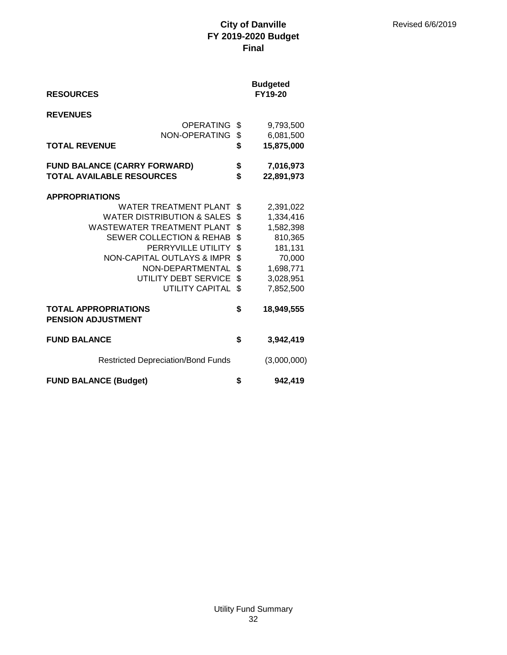| <b>RESOURCES</b>                                                                                                                                                                                                                                                                                         |                                                    | <b>Budgeted</b><br>FY19-20                                                                                 |
|----------------------------------------------------------------------------------------------------------------------------------------------------------------------------------------------------------------------------------------------------------------------------------------------------------|----------------------------------------------------|------------------------------------------------------------------------------------------------------------|
| <b>REVENUES</b><br>OPERATING<br>NON-OPERATING<br><b>TOTAL REVENUE</b>                                                                                                                                                                                                                                    | \$<br>\$<br>\$                                     | 9,793,500<br>6,081,500<br>15,875,000                                                                       |
| <b>FUND BALANCE (CARRY FORWARD)</b><br><b>TOTAL AVAILABLE RESOURCES</b>                                                                                                                                                                                                                                  | \$<br>\$                                           | 7,016,973<br>22,891,973                                                                                    |
| <b>APPROPRIATIONS</b><br><b>WATER TREATMENT PLANT</b><br><b>WATER DISTRIBUTION &amp; SALES</b><br>WASTEWATER TREATMENT PLANT<br><b>SEWER COLLECTION &amp; REHAB</b><br>PERRYVILLE UTILITY<br><b>NON-CAPITAL OUTLAYS &amp; IMPR</b><br>NON-DEPARTMENTAL<br>UTILITY DEBT SERVICE<br><b>UTILITY CAPITAL</b> | \$<br>\$<br>\$<br>\$<br>\$<br>\$<br>\$<br>\$<br>\$ | 2,391,022<br>1,334,416<br>1,582,398<br>810,365<br>181,131<br>70,000<br>1,698,771<br>3,028,951<br>7,852,500 |
| <b>TOTAL APPROPRIATIONS</b><br><b>PENSION ADJUSTMENT</b>                                                                                                                                                                                                                                                 | \$                                                 | 18,949,555                                                                                                 |
| <b>FUND BALANCE</b>                                                                                                                                                                                                                                                                                      | \$                                                 | 3,942,419                                                                                                  |
| <b>Restricted Depreciation/Bond Funds</b>                                                                                                                                                                                                                                                                |                                                    | (3,000,000)                                                                                                |
| <b>FUND BALANCE (Budget)</b>                                                                                                                                                                                                                                                                             | \$                                                 | 942,419                                                                                                    |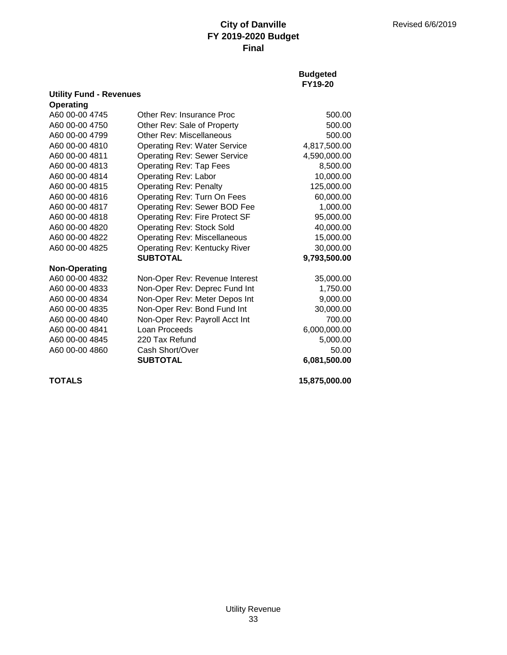**Budgeted FY19-20**

| Operating            |                                     |              |
|----------------------|-------------------------------------|--------------|
| A60 00-00 4745       | Other Rev: Insurance Proc           | 500.00       |
| A60 00-00 4750       | Other Rev: Sale of Property         | 500.00       |
| A60 00-00 4799       | Other Rev: Miscellaneous            | 500.00       |
| A60 00-00 4810       | <b>Operating Rev: Water Service</b> | 4,817,500.00 |
| A60 00-00 4811       | <b>Operating Rev: Sewer Service</b> | 4,590,000.00 |
| A60 00-00 4813       | <b>Operating Rev: Tap Fees</b>      | 8,500.00     |
| A60 00-00 4814       | <b>Operating Rev: Labor</b>         | 10,000.00    |
| A60 00-00 4815       | <b>Operating Rev: Penalty</b>       | 125,000.00   |
| A60 00-00 4816       | Operating Rev: Turn On Fees         | 60,000.00    |
| A60 00-00 4817       | Operating Rev: Sewer BOD Fee        | 1,000.00     |
| A60 00-00 4818       | Operating Rev: Fire Protect SF      | 95,000.00    |
| A60 00-00 4820       | <b>Operating Rev: Stock Sold</b>    | 40,000.00    |
| A60 00-00 4822       | <b>Operating Rev: Miscellaneous</b> | 15,000.00    |
| A60 00-00 4825       | Operating Rev: Kentucky River       | 30,000.00    |
|                      | <b>SUBTOTAL</b>                     | 9,793,500.00 |
| <b>Non-Operating</b> |                                     |              |
| A60 00-00 4832       | Non-Oper Rev: Revenue Interest      | 35,000.00    |
| A60 00-00 4833       | Non-Oper Rev: Deprec Fund Int       | 1,750.00     |
| A60 00-00 4834       | Non-Oper Rev: Meter Depos Int       | 9,000.00     |
| A60 00-00 4835       | Non-Oper Rev: Bond Fund Int         | 30,000.00    |
| A60 00-00 4840       | Non-Oper Rev: Payroll Acct Int      | 700.00       |
| A60 00-00 4841       | Loan Proceeds                       | 6,000,000.00 |
| A60 00-00 4845       | 220 Tax Refund                      | 5,000.00     |
| A60 00-00 4860       | Cash Short/Over                     | 50.00        |
|                      | <b>SUBTOTAL</b>                     | 6,081,500.00 |
|                      |                                     |              |

**Utility Fund - Revenues**

**TOTALS 15,875,000.00**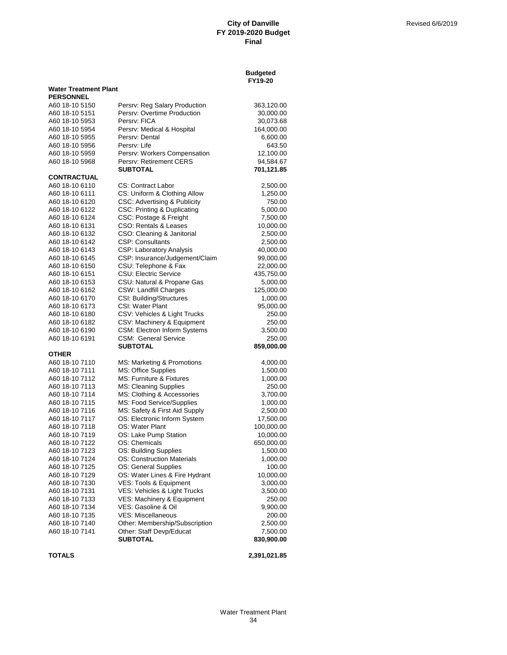|                                  |                                                              | FY19-20                 |
|----------------------------------|--------------------------------------------------------------|-------------------------|
| <b>Water Treatment Plant</b>     |                                                              |                         |
| <b>PERSONNEL</b>                 |                                                              |                         |
| A60 18-10 5150                   | Persrv: Reg Salary Production<br>Persrv: Overtime Production | 363,120.00              |
| A60 18-10 5151<br>A60 18-10 5953 | Persrv: FICA                                                 | 30,000.00<br>30,073.68  |
| A60 18-10 5954                   | Persrv: Medical & Hospital                                   | 164,000.00              |
| A60 18-10 5955                   | Persry: Dental                                               | 6,600.00                |
| A60 18-10 5956                   | Persry: Life                                                 | 643.50                  |
| A60 18-10 5959                   | Persrv: Workers Compensation                                 | 12,100.00               |
| A60 18-10 5968                   | Persrv: Retirement CERS                                      | 94,584.67               |
|                                  | <b>SUBTOTAL</b>                                              | 701,121.85              |
| <b>CONTRACTUAL</b>               |                                                              |                         |
| A60 18-10 6110                   | <b>CS: Contract Labor</b>                                    | 2,500.00                |
| A60 18-10 6111                   | CS: Uniform & Clothing Allow                                 | 1,250.00                |
| A60 18-10 6120                   | CSC: Advertising & Publicity                                 | 750.00                  |
| A60 18-10 6122                   | CSC: Printing & Duplicating                                  | 5,000.00                |
| A60 18-10 6124                   | CSC: Postage & Freight                                       | 7,500.00                |
| A60 18-10 6131                   | CSO: Rentals & Leases                                        | 10,000.00               |
| A60 18-10 6132                   | CSO: Cleaning & Janitorial                                   | 2,500.00                |
| A60 18-10 6142                   | <b>CSP: Consultants</b>                                      | 2,500.00                |
| A60 18-10 6143                   | <b>CSP: Laboratory Analysis</b>                              | 40,000.00               |
| A60 18-10 6145                   | CSP: Insurance/Judgement/Claim                               | 99,000.00               |
| A60 18-10 6150                   | CSU: Telephone & Fax                                         | 22,000.00               |
| A60 18-10 6151                   | <b>CSU: Electric Service</b>                                 | 435,750.00              |
| A60 18-10 6153                   | CSU: Natural & Propane Gas                                   | 5,000.00                |
| A60 18-10 6162                   | <b>CSW: Landfill Charges</b>                                 | 125,000.00              |
| A60 18-10 6170                   | <b>CSI: Building/Structures</b>                              | 1,000.00                |
| A60 18-10 6173                   | CSI: Water Plant                                             | 95,000.00               |
| A60 18-10 6180                   | CSV: Vehicles & Light Trucks                                 | 250.00                  |
| A60 18-10 6182                   | CSV: Machinery & Equipment                                   | 250.00                  |
| A60 18-10 6190                   | <b>CSM: Electron Inform Systems</b>                          | 3,500.00                |
| A60 18-10 6191                   | <b>CSM: General Service</b>                                  | 250.00                  |
|                                  | <b>SUBTOTAL</b>                                              | 859,000.00              |
| OTHER                            |                                                              |                         |
| A60 18-10 7110                   | MS: Marketing & Promotions                                   | 4,000.00                |
| A60 18-10 7111                   | MS: Office Supplies                                          | 1,500.00                |
| A60 18-10 7112                   | MS: Furniture & Fixtures                                     | 1,000.00                |
| A60 18-10 7113                   | <b>MS: Cleaning Supplies</b>                                 | 250.00                  |
| A60 18-10 7114<br>A60 18-10 7115 | MS: Clothing & Accessories                                   | 3,700.00                |
| A60 18-10 7116                   | MS: Food Service/Supplies<br>MS: Safety & First Aid Supply   | 1,000.00                |
| A60 18-10 7117                   | OS: Electronic Inform System                                 | 2,500.00                |
| A60 18-10 7118                   | OS: Water Plant                                              | 17,500.00<br>100,000.00 |
| A60 18-10 7119                   | OS: Lake Pump Station                                        | 10,000.00               |
| A60 18-10 7122                   | OS: Chemicals                                                | 650,000.00              |
| A60 18-10 7123                   | OS: Building Supplies                                        | 1,500.00                |
| A60 18-10 7124                   | <b>OS: Construction Materials</b>                            | 1,000.00                |
| A60 18-10 7125                   | OS: General Supplies                                         | 100.00                  |
| A60 18-10 7129                   | OS: Water Lines & Fire Hydrant                               | 10,000.00               |
| A60 18-10 7130                   | VES: Tools & Equipment                                       | 3,000.00                |
| A60 18-10 7131                   | VES: Vehicles & Light Trucks                                 | 3,500.00                |
| A60 18-10 7133                   | VES: Machinery & Equipment                                   | 250.00                  |
| A60 18-10 7134                   | VES: Gasoline & Oil                                          | 9,900.00                |
| A60 18-10 7135                   | <b>VES: Miscellaneous</b>                                    | 200.00                  |
| A60 18-10 7140                   | Other: Membership/Subscription                               | 2,500.00                |
| A60 18-10 7141                   | Other: Staff Devp/Educat                                     | 7,500.00                |
|                                  | <b>SUBTOTAL</b>                                              | 830,900.00              |
| <b>TOTALS</b>                    |                                                              | 2,391,021.85            |
|                                  |                                                              |                         |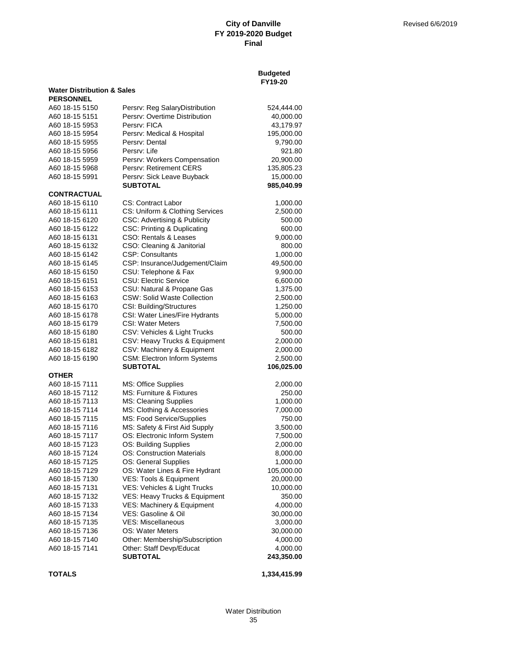|                                       |                                                                 | <b>Budgeted</b><br>FY19-20 |
|---------------------------------------|-----------------------------------------------------------------|----------------------------|
| <b>Water Distribution &amp; Sales</b> |                                                                 |                            |
| <b>PERSONNEL</b>                      |                                                                 |                            |
| A60 18-15 5150                        | Persrv: Reg SalaryDistribution<br>Persrv: Overtime Distribution | 524,444.00                 |
| A60 18-15 5151<br>A60 18-15 5953      | Persrv: FICA                                                    | 40,000.00<br>43,179.97     |
|                                       |                                                                 |                            |
| A60 18-15 5954                        | Persrv: Medical & Hospital                                      | 195,000.00                 |
| A60 18-15 5955                        | Persrv: Dental                                                  | 9,790.00                   |
| A60 18-15 5956                        | Persry: Life                                                    | 921.80                     |
| A60 18-15 5959                        | Persrv: Workers Compensation                                    | 20,900.00                  |
| A60 18-15 5968                        | Persry: Retirement CERS                                         | 135,805.23                 |
| A60 18-15 5991                        | Persrv: Sick Leave Buyback<br><b>SUBTOTAL</b>                   | 15,000.00<br>985,040.99    |
| CONTRACTUAL                           |                                                                 |                            |
| A60 18-15 6110                        | CS: Contract Labor                                              | 1,000.00                   |
| A60 18-15 6111                        | CS: Uniform & Clothing Services                                 | 2,500.00                   |
| A60 18-15 6120                        | <b>CSC: Advertising &amp; Publicity</b>                         | 500.00                     |
| A60 18-15 6122                        | <b>CSC: Printing &amp; Duplicating</b>                          | 600.00                     |
| A60 18-15 6131                        | CSO: Rentals & Leases                                           | 9,000.00                   |
| A60 18-15 6132                        | CSO: Cleaning & Janitorial                                      | 800.00                     |
| A60 18-15 6142                        | <b>CSP: Consultants</b>                                         | 1,000.00                   |
| A60 18-15 6145                        | CSP: Insurance/Judgement/Claim                                  | 49,500.00                  |
| A60 18-15 6150                        | CSU: Telephone & Fax                                            | 9,900.00                   |
| A60 18-15 6151                        | <b>CSU: Electric Service</b>                                    | 6,600.00                   |
| A60 18-15 6153                        | CSU: Natural & Propane Gas                                      | 1,375.00                   |
| A60 18-15 6163                        | <b>CSW: Solid Waste Collection</b>                              | 2,500.00                   |
| A60 18-15 6170                        | CSI: Building/Structures                                        | 1,250.00                   |
| A60 18-15 6178                        | CSI: Water Lines/Fire Hydrants                                  | 5,000.00                   |
| A60 18-15 6179                        | <b>CSI: Water Meters</b>                                        | 7,500.00                   |
| A60 18-15 6180                        | CSV: Vehicles & Light Trucks                                    | 500.00                     |
| A60 18-15 6181                        | CSV: Heavy Trucks & Equipment                                   | 2,000.00                   |
| A60 18-15 6182                        | CSV: Machinery & Equipment                                      | 2,000.00                   |
| A60 18-15 6190                        | <b>CSM: Electron Inform Systems</b>                             | 2,500.00                   |
|                                       | <b>SUBTOTAL</b>                                                 | 106,025.00                 |
| OTHER                                 |                                                                 |                            |
| A60 18-15 7111                        | MS: Office Supplies                                             | 2,000.00                   |
| A60 18-15 7112                        | MS: Furniture & Fixtures                                        | 250.00                     |
| A60 18-15 7113                        | MS: Cleaning Supplies                                           | 1,000.00                   |
| A60 18-15 7114                        | MS: Clothing & Accessories                                      | 7,000.00                   |
| A60 18-15 7115                        | MS: Food Service/Supplies<br>MS: Safety & First Aid Supply      | 750.00                     |
| A60 18-15 7116                        |                                                                 | 3,500.00                   |
| A60 18-15 7117<br>A60 18-15 7123      | OS: Electronic Inform System<br>OS: Building Supplies           | 7,500.00                   |
| A60 18-15 7124                        | OS: Construction Materials                                      | 2,000.00                   |
|                                       |                                                                 | 8,000.00                   |
| A60 18-15 7125                        | OS: General Supplies                                            | 1,000.00                   |
| A60 18-15 7129                        | OS: Water Lines & Fire Hydrant                                  | 105,000.00                 |
| A60 18-15 7130                        | VES: Tools & Equipment                                          | 20,000.00                  |
| A60 18-15 7131                        | VES: Vehicles & Light Trucks                                    | 10,000.00                  |
| A60 18-15 7132                        | VES: Heavy Trucks & Equipment                                   | 350.00                     |
| A60 18-15 7133                        | VES: Machinery & Equipment                                      | 4,000.00                   |
| A60 18-15 7134                        | VES: Gasoline & Oil                                             | 30,000.00                  |
| A60 18-15 7135<br>A60 18-15 7136      | <b>VES: Miscellaneous</b><br>OS: Water Meters                   | 3,000.00                   |
| A60 18-15 7140                        |                                                                 | 30,000.00<br>4,000.00      |
| A60 18-15 7141                        | Other: Membership/Subscription<br>Other: Staff Devp/Educat      | 4,000.00                   |
|                                       | <b>SUBTOTAL</b>                                                 | 243,350.00                 |
|                                       |                                                                 |                            |

**TOTALS 1,334,415.99**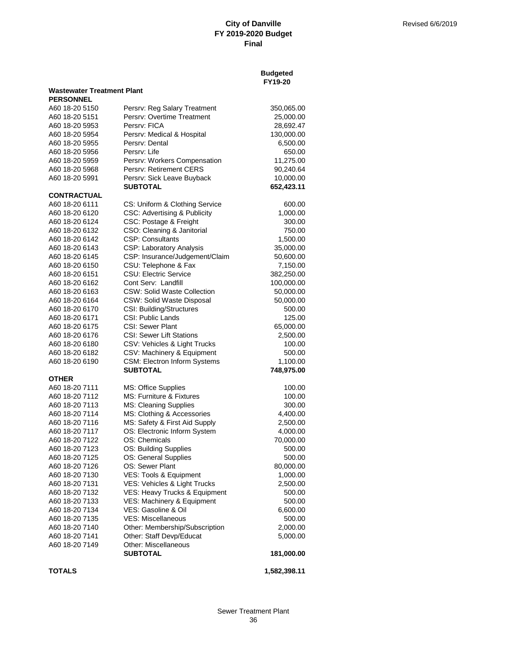**Budgeted**

|                                   |                                         | FY19-20      |
|-----------------------------------|-----------------------------------------|--------------|
| <b>Wastewater Treatment Plant</b> |                                         |              |
| <b>PERSONNEL</b>                  |                                         |              |
| A60 18-20 5150                    | Persrv: Reg Salary Treatment            | 350,065.00   |
| A60 18-20 5151                    | Persry: Overtime Treatment              | 25,000.00    |
| A60 18-20 5953                    | Persry: FICA                            | 28,692.47    |
| A60 18-20 5954                    | Persrv: Medical & Hospital              | 130,000.00   |
| A60 18-20 5955                    | Persrv: Dental                          | 6,500.00     |
| A60 18-20 5956                    | Persry: Life                            | 650.00       |
| A60 18-20 5959                    | Persrv: Workers Compensation            | 11,275.00    |
| A60 18-20 5968                    | Persry: Retirement CERS                 | 90,240.64    |
| A60 18-20 5991                    | Persrv: Sick Leave Buyback              | 10,000.00    |
|                                   | <b>SUBTOTAL</b>                         | 652,423.11   |
| <b>CONTRACTUAL</b>                |                                         |              |
| A60 18-20 6111                    | CS: Uniform & Clothing Service          | 600.00       |
| A60 18-20 6120                    | <b>CSC: Advertising &amp; Publicity</b> | 1,000.00     |
| A60 18-20 6124                    | CSC: Postage & Freight                  | 300.00       |
|                                   |                                         |              |
| A60 18-20 6132                    | CSO: Cleaning & Janitorial              | 750.00       |
| A60 18-20 6142                    | <b>CSP: Consultants</b>                 | 1,500.00     |
| A60 18-20 6143                    | CSP: Laboratory Analysis                | 35,000.00    |
| A60 18-20 6145                    | CSP: Insurance/Judgement/Claim          | 50,600.00    |
| A60 18-20 6150                    | CSU: Telephone & Fax                    | 7,150.00     |
| A60 18-20 6151                    | <b>CSU: Electric Service</b>            | 382,250.00   |
| A60 18-20 6162                    | Cont Serv: Landfill                     | 100,000.00   |
| A60 18-20 6163                    | <b>CSW: Solid Waste Collection</b>      | 50,000.00    |
| A60 18-20 6164                    | CSW: Solid Waste Disposal               | 50,000.00    |
| A60 18-20 6170                    | CSI: Building/Structures                | 500.00       |
| A60 18-20 6171                    | CSI: Public Lands                       | 125.00       |
| A60 18-20 6175                    | CSI: Sewer Plant                        | 65,000.00    |
| A60 18-20 6176                    | <b>CSI: Sewer Lift Stations</b>         | 2,500.00     |
| A60 18-20 6180                    | CSV: Vehicles & Light Trucks            | 100.00       |
| A60 18-20 6182                    | CSV: Machinery & Equipment              | 500.00       |
| A60 18-20 6190                    | CSM: Electron Inform Systems            | 1,100.00     |
|                                   | <b>SUBTOTAL</b>                         | 748,975.00   |
| <b>OTHER</b>                      |                                         |              |
| A60 18-20 7111                    | MS: Office Supplies                     | 100.00       |
| A60 18-20 7112                    | MS: Furniture & Fixtures                | 100.00       |
| A60 18-20 7113                    | MS: Cleaning Supplies                   | 300.00       |
| A60 18-20 7114                    | MS: Clothing & Accessories              | 4,400.00     |
| A60 18-20 7116                    | MS: Safety & First Aid Supply           | 2,500.00     |
| A60 18-20 7117                    | OS: Electronic Inform System            | 4,000.00     |
| A60 18-20 7122                    | OS: Chemicals                           | 70,000.00    |
| A60 18-20 7123                    | OS: Building Supplies                   | 500.00       |
| A60 18-20 7125                    | OS: General Supplies                    | 500.00       |
| A60 18-20 7126                    | OS: Sewer Plant                         | 80,000.00    |
| A60 18-20 7130                    | VES: Tools & Equipment                  | 1,000.00     |
| A60 18-20 7131                    | VES: Vehicles & Light Trucks            | 2,500.00     |
| A60 18-20 7132                    | VES: Heavy Trucks & Equipment           | 500.00       |
| A60 18-20 7133                    | VES: Machinery & Equipment              | 500.00       |
| A60 18-20 7134                    | VES: Gasoline & Oil                     | 6,600.00     |
| A60 18-20 7135                    | <b>VES: Miscellaneous</b>               | 500.00       |
| A60 18-20 7140                    | Other: Membership/Subscription          | 2,000.00     |
|                                   |                                         |              |
| A60 18-20 7141<br>A60 18-20 7149  | Other: Staff Devp/Educat                | 5,000.00     |
|                                   | Other: Miscellaneous                    |              |
|                                   | <b>SUBTOTAL</b>                         | 181,000.00   |
| <b>TOTALS</b>                     |                                         | 1,582,398.11 |
|                                   |                                         |              |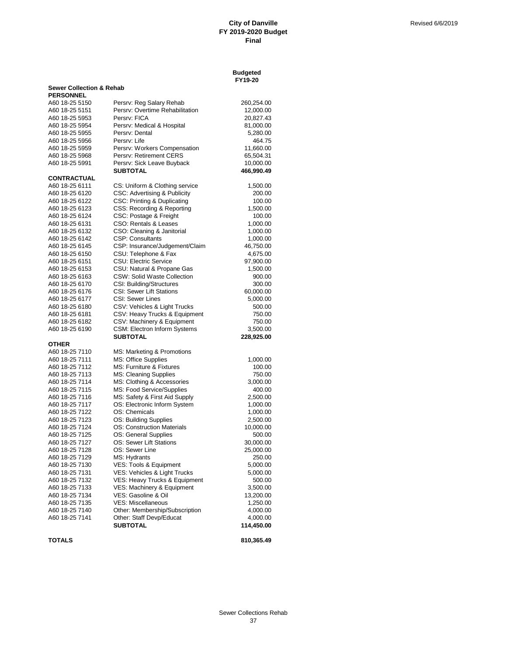|                                                         |                                     | <b>Budgeted</b><br>FY19-20 |  |
|---------------------------------------------------------|-------------------------------------|----------------------------|--|
| <b>Sewer Collection &amp; Rehab</b><br><b>PERSONNEL</b> |                                     |                            |  |
| A60 18-25 5150                                          | Persrv: Reg Salary Rehab            | 260,254.00                 |  |
| A60 18-25 5151                                          | Persrv: Overtime Rehabilitation     | 12,000.00                  |  |
| A60 18-25 5953                                          | Persry: FICA                        | 20,827.43                  |  |
| A60 18-25 5954                                          | Persrv: Medical & Hospital          | 81,000.00                  |  |
| A60 18-25 5955                                          | Persrv: Dental                      | 5,280.00                   |  |
| A60 18-25 5956                                          | Persry: Life                        | 464.75                     |  |
| A60 18-25 5959                                          | Persrv: Workers Compensation        | 11,660.00                  |  |
| A60 18-25 5968                                          | Persrv: Retirement CERS             | 65,504.31                  |  |
| A60 18-25 5991                                          | Persrv: Sick Leave Buyback          | 10,000.00                  |  |
|                                                         | SUBTOTAL                            | 466,990.49                 |  |
| <b>CONTRACTUAL</b>                                      |                                     |                            |  |
| A60 18-25 6111                                          | CS: Uniform & Clothing service      | 1,500.00                   |  |
| A60 18-25 6120                                          | CSC: Advertising & Publicity        | 200.00                     |  |
| A60 18-25 6122                                          | CSC: Printing & Duplicating         | 100.00                     |  |
| A60 18-25 6123                                          | CSS: Recording & Reporting          | 1,500.00                   |  |
| A60 18-25 6124                                          | CSC: Postage & Freight              | 100.00                     |  |
| A60 18-25 6131                                          | CSO: Rentals & Leases               | 1,000.00                   |  |
| A60 18-25 6132                                          | CSO: Cleaning & Janitorial          | 1,000.00                   |  |
| A60 18-25 6142                                          | <b>CSP: Consultants</b>             | 1,000.00                   |  |
| A60 18-25 6145                                          | CSP: Insurance/Judgement/Claim      | 46,750.00                  |  |
| A60 18-25 6150                                          | CSU: Telephone & Fax                | 4,675.00                   |  |
| A60 18-25 6151                                          | <b>CSU: Electric Service</b>        | 97,900.00                  |  |
| A60 18-25 6153                                          | CSU: Natural & Propane Gas          | 1,500.00                   |  |
| A60 18-25 6163                                          | CSW: Solid Waste Collection         | 900.00                     |  |
| A60 18-25 6170                                          | CSI: Building/Structures            | 300.00                     |  |
| A60 18-25 6176                                          | <b>CSI: Sewer Lift Stations</b>     | 60,000.00                  |  |
| A60 18-25 6177                                          | <b>CSI: Sewer Lines</b>             | 5,000.00                   |  |
| A60 18-25 6180                                          | CSV: Vehicles & Light Trucks        | 500.00                     |  |
| A60 18-25 6181                                          | CSV: Heavy Trucks & Equipment       | 750.00                     |  |
| A60 18-25 6182                                          | CSV: Machinery & Equipment          | 750.00                     |  |
| A60 18-25 6190                                          | <b>CSM: Electron Inform Systems</b> | 3,500.00                   |  |
| <b>OTHER</b>                                            | <b>SUBTOTAL</b>                     | 228,925.00                 |  |
| A60 18-25 7110                                          | MS: Marketing & Promotions          |                            |  |
| A60 18-25 7111                                          | MS: Office Supplies                 | 1,000.00                   |  |
| A60 18-25 7112                                          | MS: Furniture & Fixtures            | 100.00                     |  |
| A60 18-25 7113                                          | MS: Cleaning Supplies               | 750.00                     |  |
| A60 18-25 7114                                          | MS: Clothing & Accessories          | 3,000.00                   |  |
| A60 18-25 7115                                          | MS: Food Service/Supplies           | 400.00                     |  |
| A60 18-25 7116                                          | MS: Safety & First Aid Supply       | 2,500.00                   |  |
| A60 18-25 7117                                          | OS: Electronic Inform System        | 1,000.00                   |  |
| A60 18-25 7122                                          | OS: Chemicals                       | 1,000.00                   |  |
| A60 18-25 7123                                          | OS: Building Supplies               | 2,500.00                   |  |
| A60 18-25 7124                                          | <b>OS: Construction Materials</b>   | 10,000.00                  |  |
| A60 18-25 7125                                          | OS: General Supplies                | 500.00                     |  |
| A60 18-25 7127                                          | OS: Sewer Lift Stations             | 30,000.00                  |  |
| A60 18-25 7128                                          | OS: Sewer Line                      | 25,000.00                  |  |
| A60 18-25 7129                                          | MS: Hydrants                        | 250.00                     |  |
| A60 18-25 7130                                          | VES: Tools & Equipment              | 5,000.00                   |  |
| A60 18-25 7131                                          | VES: Vehicles & Light Trucks        | 5,000.00                   |  |
| A60 18-25 7132                                          | VES: Heavy Trucks & Equipment       | 500.00                     |  |
| A60 18-25 7133                                          | VES: Machinery & Equipment          | 3,500.00                   |  |
| A60 18-25 7134                                          | VES: Gasoline & Oil                 | 13,200.00                  |  |
| A60 18-25 7135                                          | <b>VES: Miscellaneous</b>           | 1,250.00                   |  |
| A60 18-25 7140                                          | Other: Membership/Subscription      | 4,000.00                   |  |
| A60 18-25 7141                                          | Other: Staff Devp/Educat            | 4,000.00                   |  |
|                                                         | <b>SUBTOTAL</b>                     | 114,450.00                 |  |

**TOTALS 810,365.49**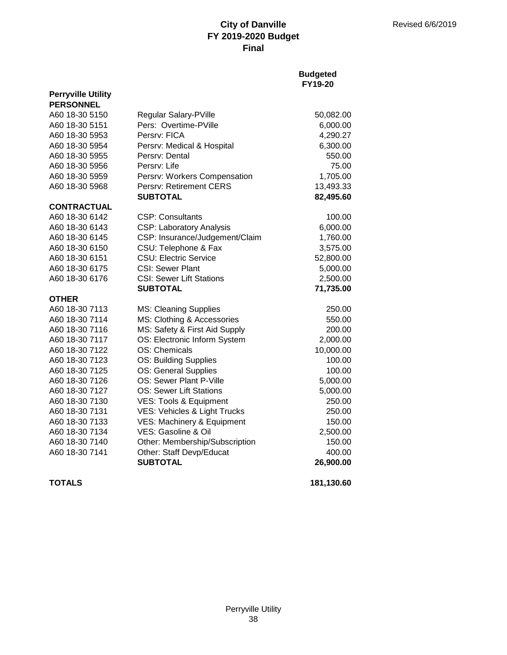## **Budgeted FY19-20**

| <b>Perryville Utility</b> |                                 |            |
|---------------------------|---------------------------------|------------|
| <b>PERSONNEL</b>          |                                 |            |
| A60 18-30 5150            | Regular Salary-PVille           | 50,082.00  |
| A60 18-30 5151            | Pers: Overtime-PVille           | 6,000.00   |
| A60 18-30 5953            | Persry: FICA                    | 4,290.27   |
| A60 18-30 5954            | Persrv: Medical & Hospital      | 6,300.00   |
| A60 18-30 5955            | Persry: Dental                  | 550.00     |
| A60 18-30 5956            | Persrv: Life                    | 75.00      |
| A60 18-30 5959            | Persrv: Workers Compensation    | 1,705.00   |
| A60 18-30 5968            | Persrv: Retirement CERS         | 13,493.33  |
|                           | <b>SUBTOTAL</b>                 | 82,495.60  |
| <b>CONTRACTUAL</b>        |                                 |            |
| A60 18-30 6142            | CSP: Consultants                | 100.00     |
| A60 18-30 6143            | <b>CSP: Laboratory Analysis</b> | 6,000.00   |
| A60 18-30 6145            | CSP: Insurance/Judgement/Claim  | 1,760.00   |
| A60 18-30 6150            | CSU: Telephone & Fax            | 3,575.00   |
| A60 18-30 6151            | <b>CSU: Electric Service</b>    | 52,800.00  |
| A60 18-30 6175            | <b>CSI: Sewer Plant</b>         | 5,000.00   |
| A60 18-30 6176            | <b>CSI: Sewer Lift Stations</b> | 2,500.00   |
|                           | <b>SUBTOTAL</b>                 | 71,735.00  |
| <b>OTHER</b>              |                                 |            |
| A60 18-30 7113            | <b>MS: Cleaning Supplies</b>    | 250.00     |
| A60 18-30 7114            | MS: Clothing & Accessories      | 550.00     |
| A60 18-30 7116            | MS: Safety & First Aid Supply   | 200.00     |
| A60 18-30 7117            | OS: Electronic Inform System    | 2,000.00   |
| A60 18-30 7122            | OS: Chemicals                   | 10,000.00  |
| A60 18-30 7123            | OS: Building Supplies           | 100.00     |
| A60 18-30 7125            | OS: General Supplies            | 100.00     |
| A60 18-30 7126            | OS: Sewer Plant P-Ville         | 5,000.00   |
| A60 18-30 7127            | <b>OS: Sewer Lift Stations</b>  | 5,000.00   |
| A60 18-30 7130            | VES: Tools & Equipment          | 250.00     |
| A60 18-30 7131            | VES: Vehicles & Light Trucks    | 250.00     |
| A60 18-30 7133            | VES: Machinery & Equipment      | 150.00     |
| A60 18-30 7134            | VES: Gasoline & Oil             | 2,500.00   |
| A60 18-30 7140            | Other: Membership/Subscription  | 150.00     |
| A60 18-30 7141            | Other: Staff Devp/Educat        | 400.00     |
|                           | <b>SUBTOTAL</b>                 | 26,900.00  |
| <b>TOTALS</b>             |                                 | 181,130.60 |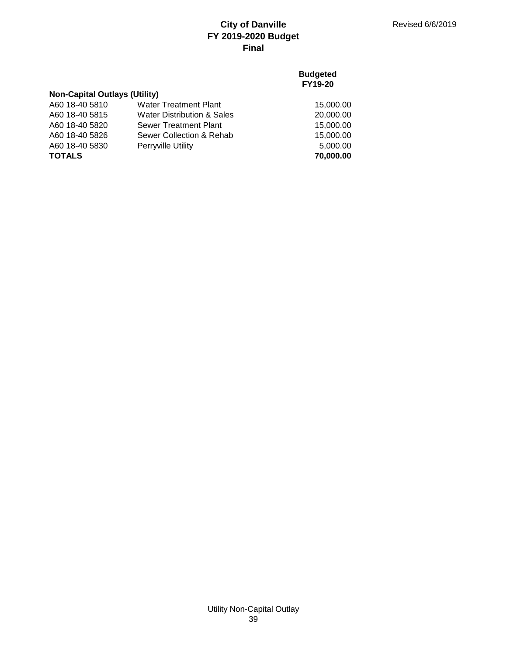## **Budgeted FY19-20**

# **Non-Capital Outlays (Utility)**

| <b>TOTALS</b>  |                                       | 70,000.00 |
|----------------|---------------------------------------|-----------|
| A60 18-40 5830 | <b>Perryville Utility</b>             | 5.000.00  |
| A60 18-40 5826 | Sewer Collection & Rehab              | 15,000.00 |
| A60 18-40 5820 | Sewer Treatment Plant                 | 15.000.00 |
| A60 18-40 5815 | <b>Water Distribution &amp; Sales</b> | 20,000.00 |
| A60 18-40 5810 | <b>Water Treatment Plant</b>          | 15,000.00 |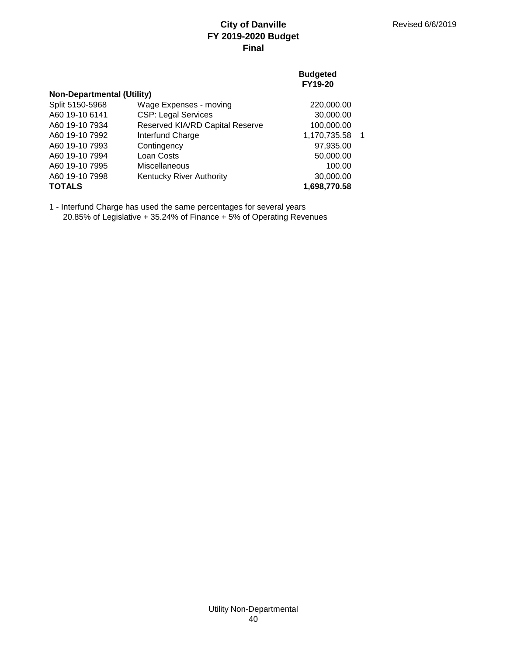## **Budgeted FY19-20**

| <b>Non-Departmental (Utility)</b> |                                 |              |    |  |
|-----------------------------------|---------------------------------|--------------|----|--|
| Split 5150-5968                   | Wage Expenses - moving          | 220,000.00   |    |  |
| A60 19-10 6141                    | <b>CSP: Legal Services</b>      | 30,000.00    |    |  |
| A60 19-10 7934                    | Reserved KIA/RD Capital Reserve | 100,000.00   |    |  |
| A60 19-10 7992                    | Interfund Charge                | 1,170,735.58 | -1 |  |
| A60 19-10 7993                    | Contingency                     | 97,935.00    |    |  |
| A60 19-10 7994                    | Loan Costs                      | 50,000.00    |    |  |
| A60 19-10 7995                    | <b>Miscellaneous</b>            | 100.00       |    |  |
| A60 19-10 7998                    | <b>Kentucky River Authority</b> | 30,000.00    |    |  |
| <b>TOTALS</b>                     |                                 | 1,698,770.58 |    |  |

1 - Interfund Charge has used the same percentages for several years 20.85% of Legislative + 35.24% of Finance + 5% of Operating Revenues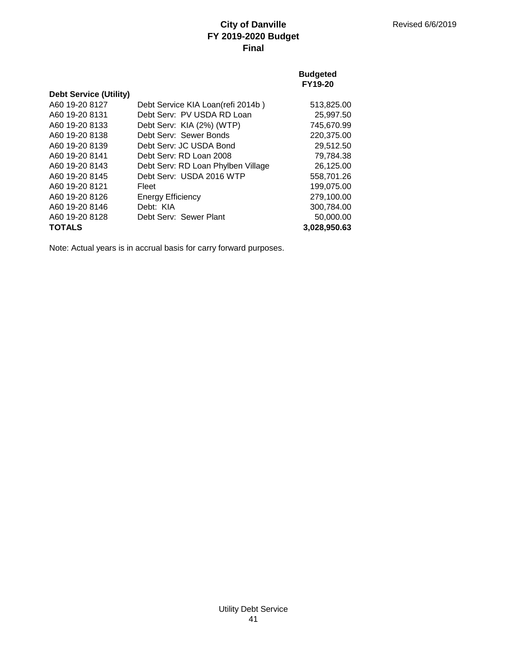## **Budgeted FY19-20**

| <b>Debt Service (Utility)</b> |                                    |              |
|-------------------------------|------------------------------------|--------------|
| A60 19-20 8127                | Debt Service KIA Loan(refi 2014b)  | 513,825.00   |
| A60 19-20 8131                | Debt Serv: PV USDA RD Loan         | 25,997.50    |
| A60 19-20 8133                | Debt Serv: KIA (2%) (WTP)          | 745.670.99   |
| A60 19-20 8138                | Debt Serv: Sewer Bonds             | 220,375.00   |
| A60 19-20 8139                | Debt Serv: JC USDA Bond            | 29,512.50    |
| A60 19-20 8141                | Debt Serv: RD Loan 2008            | 79,784.38    |
| A60 19-20 8143                | Debt Serv: RD Loan Phylben Village | 26,125.00    |
| A60 19-20 8145                | Debt Serv: USDA 2016 WTP           | 558,701.26   |
| A60 19-20 8121                | Fleet                              | 199,075.00   |
| A60 19-20 8126                | <b>Energy Efficiency</b>           | 279.100.00   |
| A60 19-20 8146                | Debt: KIA                          | 300,784.00   |
| A60 19-20 8128                | Debt Serv: Sewer Plant             | 50,000.00    |
| <b>TOTALS</b>                 |                                    | 3,028,950.63 |

Note: Actual years is in accrual basis for carry forward purposes.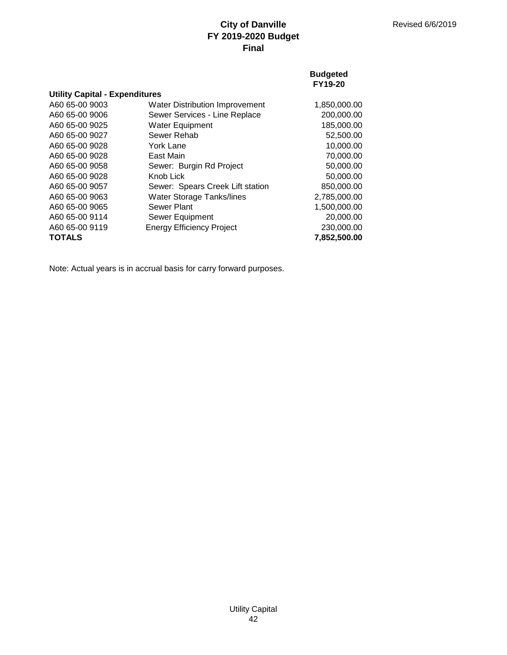**Budgeted**

|                                       |                                       | FY19-20      |
|---------------------------------------|---------------------------------------|--------------|
| <b>Utility Capital - Expenditures</b> |                                       |              |
| A60 65-00 9003                        | <b>Water Distribution Improvement</b> | 1,850,000.00 |
| A60 65-00 9006                        | Sewer Services - Line Replace         | 200,000.00   |
| A60 65-00 9025                        | <b>Water Equipment</b>                | 185,000.00   |
| A60 65-00 9027                        | Sewer Rehab                           | 52,500.00    |
| A60 65-00 9028                        | York Lane                             | 10,000.00    |
| A60 65-00 9028                        | East Main                             | 70,000.00    |
| A60 65-00 9058                        | Sewer: Burgin Rd Project              | 50,000.00    |
| A60 65-00 9028                        | Knob Lick                             | 50,000.00    |
| A60 65-00 9057                        | Sewer: Spears Creek Lift station      | 850,000.00   |
| A60 65-00 9063                        | Water Storage Tanks/lines             | 2,785,000.00 |
| A60 65-00 9065                        | Sewer Plant                           | 1,500,000.00 |
| A60 65-00 9114                        | Sewer Equipment                       | 20,000.00    |
| A60 65-00 9119                        | <b>Energy Efficiency Project</b>      | 230,000.00   |

**TOTALS 7,852,500.00**

Note: Actual years is in accrual basis for carry forward purposes.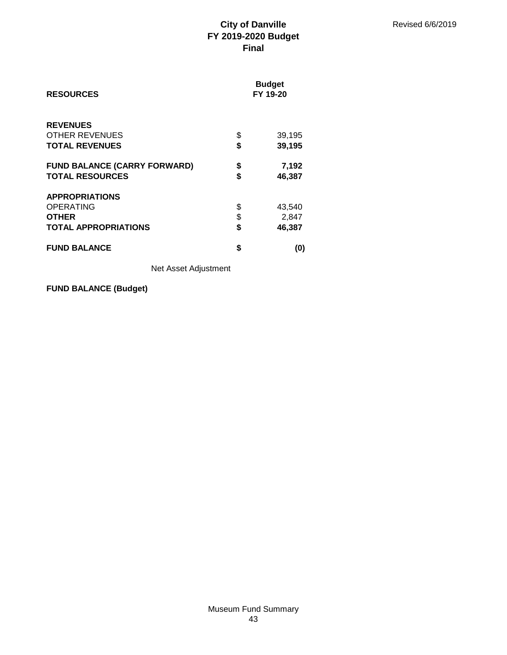| <b>RESOURCES</b>                         | <b>Budget</b><br>FY 19-20 |
|------------------------------------------|---------------------------|
| <b>REVENUES</b><br><b>OTHER REVENUES</b> | \$<br>39,195              |
| <b>TOTAL REVENUES</b>                    | \$<br>39,195              |
| <b>FUND BALANCE (CARRY FORWARD)</b>      | \$<br>7,192               |
| <b>TOTAL RESOURCES</b>                   | \$<br>46,387              |
| <b>APPROPRIATIONS</b>                    |                           |
| <b>OPERATING</b>                         | \$<br>43,540              |
| <b>OTHER</b>                             | \$<br>2,847               |
| <b>TOTAL APPROPRIATIONS</b>              | \$<br>46,387              |
| <b>FUND BALANCE</b>                      | \$<br>(0)                 |

Net Asset Adjustment

**FUND BALANCE (Budget)**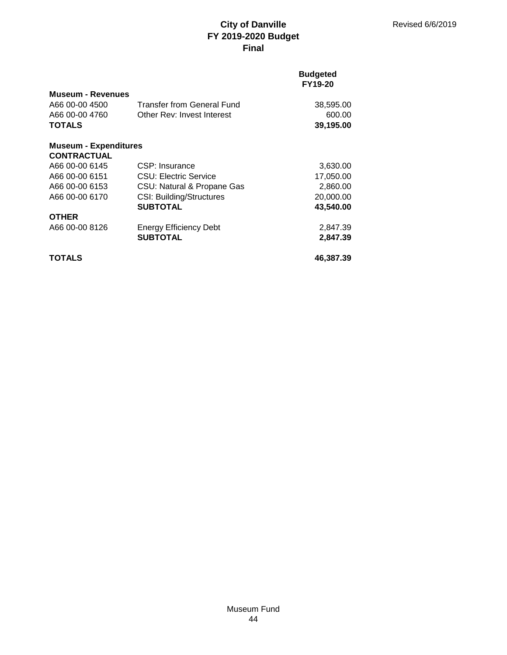### **Budgeted FY19-20**

| <b>Museum - Revenues</b><br>A66 00-00 4500<br>A66 00-00 4760<br><b>TOTALS</b> | <b>Transfer from General Fund</b><br>Other Rev: Invest Interest | 38,595.00<br>600.00<br>39,195.00 |
|-------------------------------------------------------------------------------|-----------------------------------------------------------------|----------------------------------|
| <b>Museum - Expenditures</b>                                                  |                                                                 |                                  |
| <b>CONTRACTUAL</b>                                                            |                                                                 |                                  |
| A66 00-00 6145                                                                | CSP: Insurance                                                  | 3,630.00                         |
| A66 00-00 6151                                                                | CSU: Electric Service                                           | 17,050.00                        |
| A66 00-00 6153                                                                | CSU: Natural & Propane Gas                                      | 2,860.00                         |
| A66 00-00 6170                                                                | <b>CSI: Building/Structures</b>                                 | 20,000.00                        |
|                                                                               | <b>SUBTOTAL</b>                                                 | 43,540.00                        |
| <b>OTHER</b>                                                                  |                                                                 |                                  |
| A66 00-00 8126                                                                | <b>Energy Efficiency Debt</b>                                   | 2,847.39                         |
|                                                                               | <b>SUBTOTAL</b>                                                 | 2,847.39                         |
| <b>TOTALS</b>                                                                 |                                                                 | 46,387,39                        |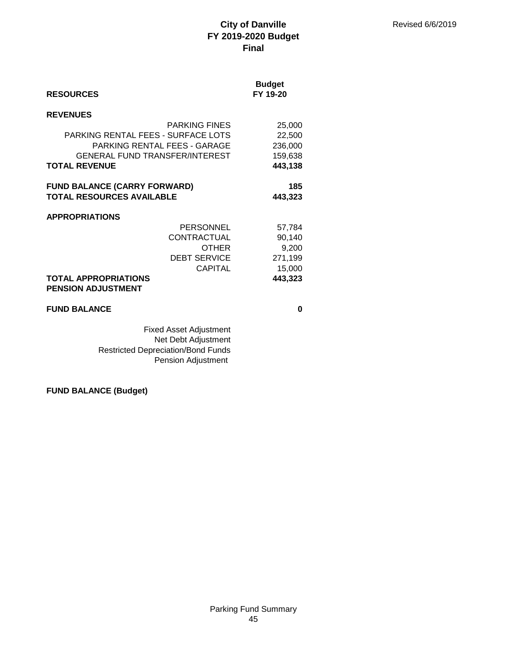| <b>RESOURCES</b>                                         |                                       | <b>Budget</b><br>FY 19-20 |
|----------------------------------------------------------|---------------------------------------|---------------------------|
| <b>REVENUES</b>                                          |                                       |                           |
|                                                          | <b>PARKING FINES</b>                  | 25,000                    |
| PARKING RENTAL FEES - SURFACE LOTS                       |                                       | 22,500                    |
|                                                          | PARKING RENTAL FEES - GARAGE          | 236,000                   |
|                                                          | <b>GENERAL FUND TRANSFER/INTEREST</b> | 159,638                   |
| <b>TOTAL REVENUE</b>                                     |                                       | 443,138                   |
| <b>FUND BALANCE (CARRY FORWARD)</b>                      |                                       | 185                       |
| <b>TOTAL RESOURCES AVAILABLE</b>                         |                                       | 443,323                   |
|                                                          |                                       |                           |
| <b>APPROPRIATIONS</b>                                    |                                       |                           |
|                                                          | <b>PERSONNEL</b>                      | 57,784                    |
|                                                          | CONTRACTUAL                           | 90,140                    |
|                                                          | <b>OTHER</b>                          | 9,200                     |
|                                                          | <b>DEBT SERVICE</b>                   | 271,199                   |
|                                                          | <b>CAPITAL</b>                        | 15,000                    |
| <b>TOTAL APPROPRIATIONS</b><br><b>PENSION ADJUSTMENT</b> |                                       | 443,323                   |
|                                                          |                                       |                           |
| <b>FUND BALANCE</b>                                      |                                       | 0                         |
|                                                          |                                       |                           |

Fixed Asset Adjustment Net Debt Adjustment Restricted Depreciation/Bond Funds Pension Adjustment

**FUND BALANCE (Budget)**